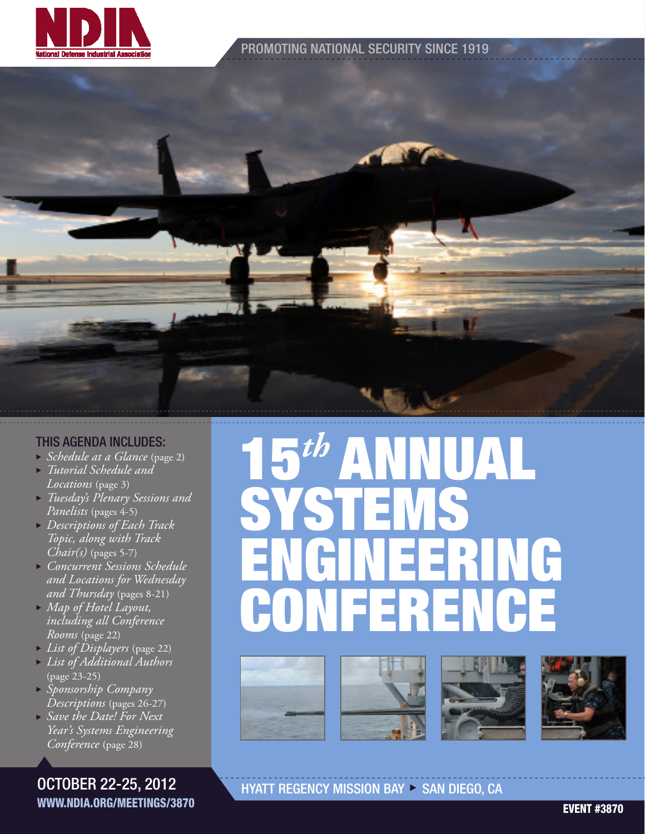

#### PROMOTING NATIONAL SECURITY SINCE 1919

#### THIS AGENDA INCLUDES:

- <sup>u</sup> *Schedule at a Glance* (page 2)
- <sup>u</sup> *Tutorial Schedule and Locations* (page 3)
- <sup>u</sup> *Tuesday's Plenary Sessions and Panelists* (pages 4-5)
- <sup>u</sup> *Descriptions of Each Track Topic, along with Track Chair(s)* (pages 5-7)
- <sup>u</sup> *Concurrent Sessions Schedule and Locations for Wednesday and Thursday* (pages 8-21)
- <sup>u</sup> *Map of Hotel Layout, including all Conference Rooms* (page 22)
- <sup>u</sup> *List of Displayers* (page 22)
- <sup>u</sup> *List of Additional Authors*  (page 23-25)
- <sup>u</sup> *Sponsorship Company Descriptions* (pages 26-27)
- <sup>u</sup> *Save the Date! For Next Year's Systems Engineering Conference* (page 28)

OCTOBER 22-25, 2012 WWW.NDIA.ORG/MEETINGS/3870

# 15*th* ANNUAL SYSTEMS ENGINEERING CONFERENCE







HYATT REGENCY MISSION BAY > SAN DIEGO, CA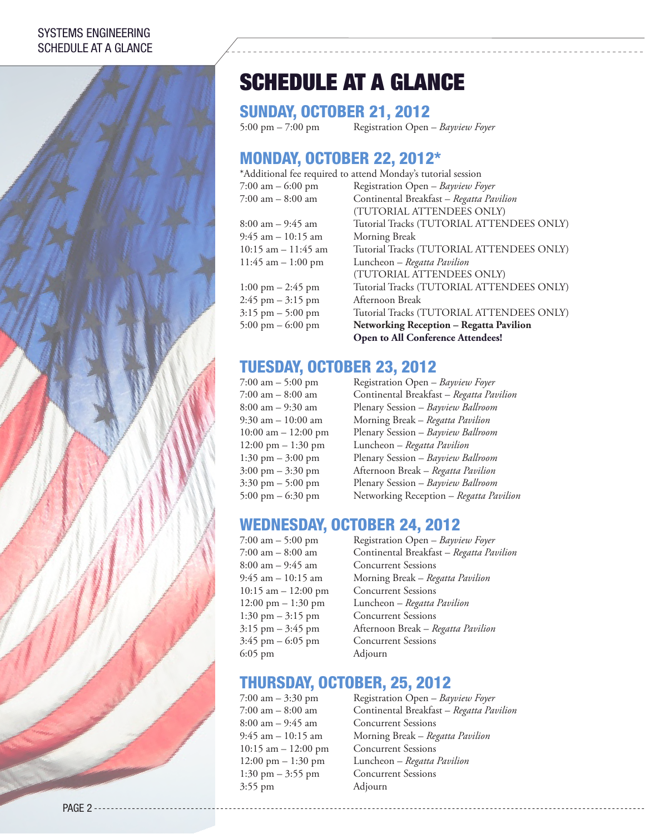#### SYSTEMS ENGINEERING SCHEDULE AT A GLANCE



## SCHEDULE AT A GLANCE

**SUNDAY, OCTOBER 21, 2012**<br>5:00 pm – 7:00 pm<br>Registration Open

5:00 pm – 7:00 pm Registration Open – *Bayview Foyer*

## MONDAY, OCTOBER 22, 2012\*

\*Additional fee required to attend Monday's tutorial session

| 7:00 am $-$ 6:00 pm                 | Registration Open - Bayview Foyer         |
|-------------------------------------|-------------------------------------------|
| $7:00$ am $-8:00$ am                | Continental Breakfast - Regatta Pavilion  |
|                                     | (TUTORIAL ATTENDEES ONLY)                 |
| $8:00$ am $-9:45$ am                | Tutorial Tracks (TUTORIAL ATTENDEES ONLY) |
| $9:45$ am $-10:15$ am               | Morning Break                             |
| $10:15$ am $-11:45$ am              | Tutorial Tracks (TUTORIAL ATTENDEES ONLY) |
| $11:45$ am $-1:00$ pm               | Luncheon - Regatta Pavilion               |
|                                     | (TUTORIAL ATTENDEES ONLY)                 |
| $1:00 \text{ pm} - 2:45 \text{ pm}$ | Tutorial Tracks (TUTORIAL ATTENDEES ONLY) |
| $2:45$ pm $-3:15$ pm                | Afternoon Break                           |
| $3:15$ pm $-5:00$ pm                | Tutorial Tracks (TUTORIAL ATTENDEES ONLY) |
| $5:00 \text{ pm} - 6:00 \text{ pm}$ | Networking Reception - Regatta Pavilion   |
|                                     | Open to All Conference Attendees!         |

### TUESDAY, OCTOBER 23, 2012

7:00 am – 5:00 pm Registration Open – *Bayview Foyer* 7:00 am – 8:00 am Continental Breakfast – *Regatta Pavilion* 8:00 am – 9:30 am Plenary Session – *Bayview Ballroom* 9:30 am – 10:00 am Morning Break – *Regatta Pavilion* 10:00 am – 12:00 pm Plenary Session – *Bayview Ballroom* 12:00 pm – 1:30 pm Luncheon – *Regatta Pavilion* 1:30 pm – 3:00 pm Plenary Session – *Bayview Ballroom* 3:00 pm – 3:30 pm Afternoon Break – *Regatta Pavilion* 3:30 pm – 5:00 pm Plenary Session – *Bayview Ballroom* 5:00 pm – 6:30 pm Networking Reception – *Regatta Pavilion*

### WEDNESDAY, OCTOBER 24, 2012

8:00 am – 9:45 am Concurrent Sessions 10:15 am – 12:00 pm Concurrent Sessions 1:30 pm – 3:15 pm Concurrent Sessions 3:45 pm – 6:05 pm Concurrent Sessions 6:05 pm Adjourn

7:00 am – 5:00 pm Registration Open – *Bayview Foyer* 7:00 am – 8:00 am Continental Breakfast – *Regatta Pavilion* 9:45 am – 10:15 am Morning Break – *Regatta Pavilion* 12:00 pm – 1:30 pm Luncheon – *Regatta Pavilion* 3:15 pm – 3:45 pm Afternoon Break – *Regatta Pavilion*

## THURSDAY, OCTOBER, 25, 2012

1:30 pm – 3:55 pm Concurrent Sessions 3:55 pm Adjourn

7:00 am – 3:30 pm Registration Open – *Bayview Foyer* 7:00 am – 8:00 am Continental Breakfast – *Regatta Pavilion* 8:00 am – 9:45 am Concurrent Sessions 9:45 am – 10:15 am Morning Break – *Regatta Pavilion* 10:15 am – 12:00 pm Concurrent Sessions 12:00 pm – 1:30 pm Luncheon – *Regatta Pavilion*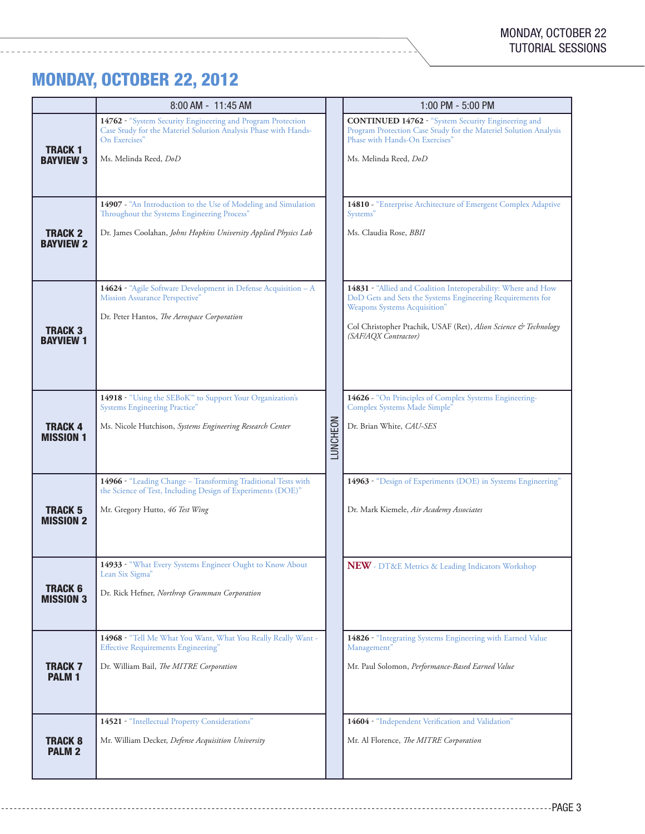## MONDAY, OCTOBER 22, 2012

-----------------

|                                    | 8:00 AM - 11:45 AM                                                                                                                                                       |          | 1:00 PM - 5:00 PM                                                                                                                                                                        |
|------------------------------------|--------------------------------------------------------------------------------------------------------------------------------------------------------------------------|----------|------------------------------------------------------------------------------------------------------------------------------------------------------------------------------------------|
| <b>TRACK 1</b><br>Bayview 3        | 14762 - "System Security Engineering and Program Protection<br>Case Study for the Materiel Solution Analysis Phase with Hands-<br>On Exercises"<br>Ms. Melinda Reed, DoD |          | <b>CONTINUED 14762 - "System Security Engineering and</b><br>Program Protection Case Study for the Materiel Solution Analysis<br>Phase with Hands-On Exercises"<br>Ms. Melinda Reed, DoD |
|                                    | 14907 - "An Introduction to the Use of Modeling and Simulation<br>Throughout the Systems Engineering Process"                                                            |          | 14810 - "Enterprise Architecture of Emergent Complex Adaptive<br>Systems"                                                                                                                |
| <b>TRACK 2</b><br>Bayview 2        | Dr. James Coolahan, Johns Hopkins University Applied Physics Lab                                                                                                         |          | Ms. Claudia Rose, <b>BBII</b>                                                                                                                                                            |
|                                    | 14624 - "Agile Software Development in Defense Acquisition - A<br>Mission Assurance Perspective"<br>Dr. Peter Hantos, The Aerospace Corporation                          |          | 14831 - "Allied and Coalition Interoperability: Where and How<br>DoD Gets and Sets the Systems Engineering Requirements for<br>Weapons Systems Acquisition"                              |
| <b>TRACK 3</b><br><b>BAYVIEW 1</b> |                                                                                                                                                                          |          | Col Christopher Ptachik, USAF (Ret), Alion Science & Technology<br>(SAF/AQX Contractor)                                                                                                  |
|                                    | 14918 - "Using the SEBoK™ to Support Your Organization's<br><b>Systems Engineering Practice"</b>                                                                         |          | 14626 - "On Principles of Complex Systems Engineering-<br>Complex Systems Made Simple"                                                                                                   |
| <b>TRACK 4</b><br><b>MISSION 1</b> | Ms. Nicole Hutchison, Systems Engineering Research Center                                                                                                                | LUNCHEON | Dr. Brian White, CAU-SES                                                                                                                                                                 |
|                                    | 14966 - "Leading Change - Transforming Traditional Tests with<br>the Science of Test, Including Design of Experiments (DOE)"                                             |          | 14963 - "Design of Experiments (DOE) in Systems Engineering"                                                                                                                             |
| <b>TRACK 5</b><br><b>MISSION 2</b> | Mr. Gregory Hutto, 46 Test Wing                                                                                                                                          |          | Dr. Mark Kiemele, Air Academy Associates                                                                                                                                                 |
|                                    | 14933 - "What Every Systems Engineer Ought to Know About<br>Lean Six Sigma"                                                                                              |          | NEW - DT&E Metrics & Leading Indicators Workshop                                                                                                                                         |
| <b>TRACK 6</b><br><b>MISSION 3</b> | Dr. Rick Hefner, Northrop Grumman Corporation                                                                                                                            |          |                                                                                                                                                                                          |
|                                    | 14968 - "Tell Me What You Want, What You Really Really Want -<br><b>Effective Requirements Engineering</b> "                                                             |          | 14826 - "Integrating Systems Engineering with Earned Value<br>Management"                                                                                                                |
| <b>TRACK 7</b><br><b>PALM1</b>     | Dr. William Bail, The MITRE Corporation                                                                                                                                  |          | Mr. Paul Solomon, Performance-Based Earned Value                                                                                                                                         |
|                                    | 14521 - "Intellectual Property Considerations"                                                                                                                           |          | 14604 - "Independent Verification and Validation"                                                                                                                                        |
| <b>TRACK 8</b><br><b>PALM 2</b>    | Mr. William Decker, Defense Acquisition University                                                                                                                       |          | Mr. Al Florence, The MITRE Corporation                                                                                                                                                   |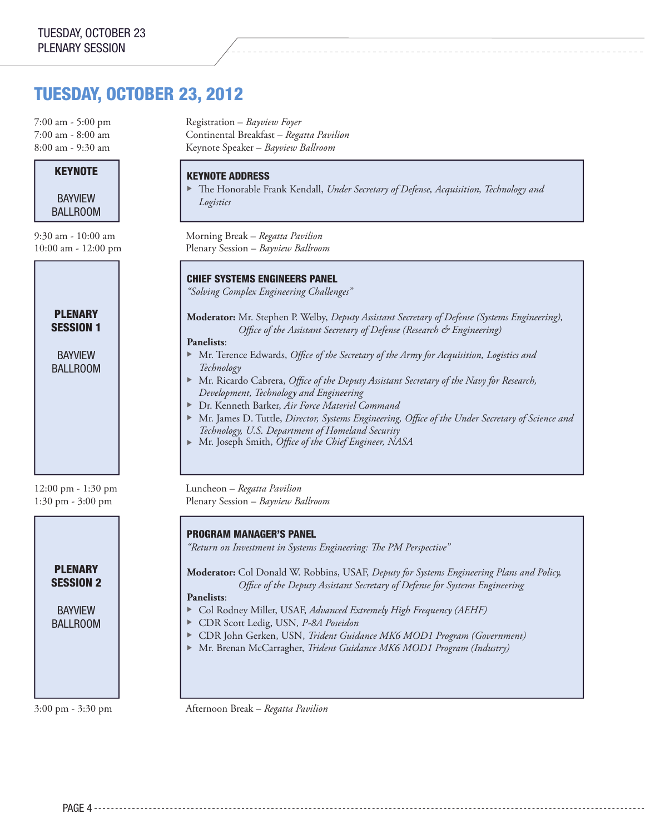## TUESDAY, OCTOBER 23, 2012

#### **KEYNOTE**

BAYVIEW BALLROOM



BAYVIEW BALLROOM

**PLENARY** SESSION 2

BAYVIEW BALLROOM

7:00 am - 5:00 pm Registration – *Bayview Foyer* 7:00 am - 8:00 am Continental Breakfast – *Regatta Pavilion* 8:00 am - 9:30 am Keynote Speaker – *Bayview Ballroom*

#### KEYNOTE ADDRESS

The Honorable Frank Kendall, *Under Secretary of Defense, Acquisition, Technology and Logistics*

9:30 am - 10:00 am Morning Break – *Regatta Pavilion* 10:00 am - 12:00 pm Plenary Session – *Bayview Ballroom*

#### CHIEF SYSTEMS ENGINEERS PANEL

*"Solving Complex Engineering Challenges"*

**Moderator:** Mr. Stephen P. Welby, *Deputy Assistant Secretary of Defense (Systems Engineering), Office of the Assistant Secretary of Defense (Research & Engineering)*

**Panelists**:

- ▶ Mr. Terence Edwards, *Office of the Secretary of the Army for Acquisition, Logistics and Technology*
- ▶ Mr. Ricardo Cabrera, *Office of the Deputy Assistant Secretary of the Navy for Research*, *Development, Technology and Engineering*
- ▶ Dr. Kenneth Barker, Air Force Materiel Command
- ▶ Mr. James D. Tuttle, *Director, Systems Engineering, Office of the Under Secretary of Science and Technology, U.S. Department of Homeland Security*
- <sup>u</sup>Mr. Joseph Smith, *Office of the Chief Engineer, NASA*

12:00 pm - 1:30 pm Luncheon – *Regatta Pavilion* 1:30 pm - 3:00 pm Plenary Session – *Bayview Ballroom*

#### PROGRAM MANAGER'S PANEL

*"Return on Investment in Systems Engineering: The PM Perspective"*

**Moderator:** Col Donald W. Robbins, USAF, *Deputy for Systems Engineering Plans and Policy, Office of the Deputy Assistant Secretary of Defense for Systems Engineering*

#### **Panelists**:

- ▶ Col Rodney Miller, USAF, *Advanced Extremely High Frequency (AEHF)*
- **EXP** CDR Scott Ledig, USN, P-8A Poseidon
- ▶ CDR John Gerken, USN, *Trident Guidance MK6 MOD1 Program (Government)*
- ▶ Mr. Brenan McCarragher, *Trident Guidance MK6 MOD1 Program (Industry)*

3:00 pm - 3:30 pm Afternoon Break – *Regatta Pavilion*

PAGE 4 - - - - - - - - - -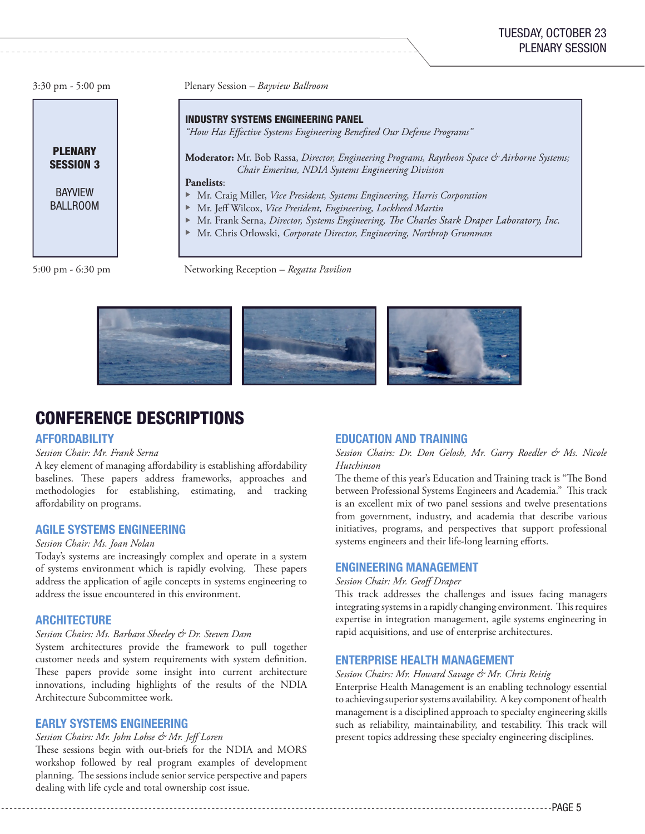

3:30 pm - 5:00 pm Plenary Session – *Bayview Ballroom*

INDUSTRY SYSTEMS ENGINEERING PANEL

*"How Has Effective Systems Engineering Benefited Our Defense Programs"*

**Moderator:** Mr. Bob Rassa, *Director, Engineering Programs, Raytheon Space & Airborne Systems; Chair Emeritus, NDIA Systems Engineering Division*

**Panelists**:

- **Mr. Craig Miller,** *Vice President, Systems Engineering, Harris Corporation*
- **Mr. Jeff Wilcox, Vice President, Engineering, Lockheed Martin**
- ▶ Mr. Frank Serna, *Director, Systems Engineering, The Charles Stark Draper Laboratory, Inc.*
- **Mr. Chris Orlowski, Corporate Director, Engineering, Northrop Grumman**

5:00 pm - 6:30 pm Networking Reception – *Regatta Pavilion*



\_\_\_\_\_\_\_\_\_\_\_\_\_\_\_\_\_\_\_

## CONFERENCE DESCRIPTIONS

#### **AFFORDABILITY**

#### *Session Chair: Mr. Frank Serna*

A key element of managing affordability is establishing affordability baselines. These papers address frameworks, approaches and methodologies for establishing, estimating, and tracking affordability on programs.

#### AGILE SYSTEMS ENGINEERING

#### *Session Chair: Ms. Joan Nolan*

Today's systems are increasingly complex and operate in a system of systems environment which is rapidly evolving. These papers address the application of agile concepts in systems engineering to address the issue encountered in this environment.

#### **ARCHITECTURE**

#### *Session Chairs: Ms. Barbara Sheeley & Dr. Steven Dam*

System architectures provide the framework to pull together customer needs and system requirements with system definition. These papers provide some insight into current architecture innovations, including highlights of the results of the NDIA Architecture Subcommittee work.

#### EARLY SYSTEMS ENGINEERING

#### *Session Chairs: Mr. John Lohse & Mr. Jeff Loren*

These sessions begin with out-briefs for the NDIA and MORS workshop followed by real program examples of development planning. The sessions include senior service perspective and papers dealing with life cycle and total ownership cost issue.

#### EDUCATION AND TRAINING

*Session Chairs: Dr. Don Gelosh, Mr. Garry Roedler & Ms. Nicole Hutchinson*

The theme of this year's Education and Training track is "The Bond between Professional Systems Engineers and Academia." This track is an excellent mix of two panel sessions and twelve presentations from government, industry, and academia that describe various initiatives, programs, and perspectives that support professional systems engineers and their life-long learning efforts.

#### ENGINEERING MANAGEMENT

#### *Session Chair: Mr. Geoff Draper*

This track addresses the challenges and issues facing managers integrating systems in a rapidly changing environment. This requires expertise in integration management, agile systems engineering in rapid acquisitions, and use of enterprise architectures.

#### ENTERPRISE HEALTH MANAGEMENT

#### *Session Chairs: Mr. Howard Savage & Mr. Chris Reisig*

Enterprise Health Management is an enabling technology essential to achieving superior systems availability. A key component of health management is a disciplined approach to specialty engineering skills such as reliability, maintainability, and testability. This track will present topics addressing these specialty engineering disciplines.

-------------PAGF 5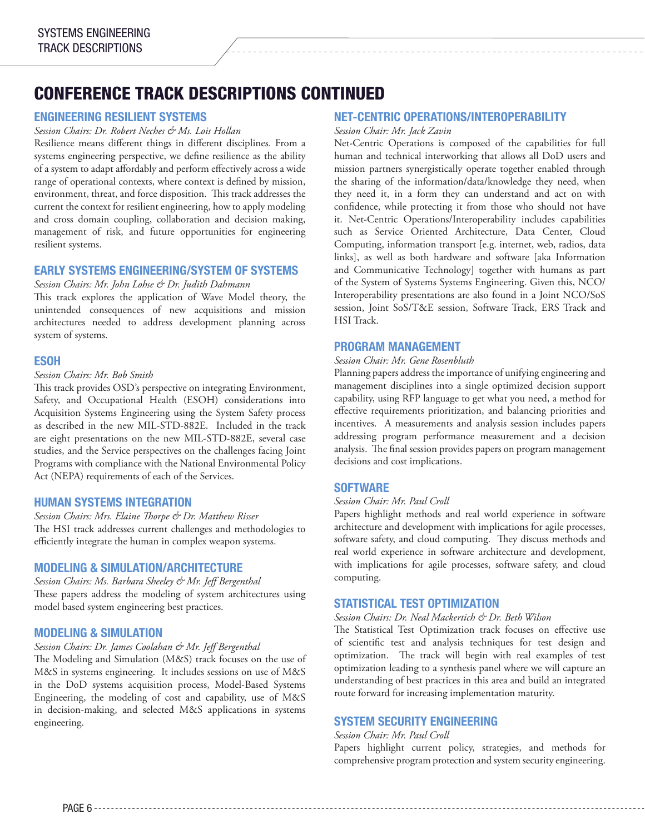## CONFERENCE TRACK DESCRIPTIONS CONTINUED

#### ENGINEERING RESILIENT SYSTEMS

#### *Session Chairs: Dr. Robert Neches & Ms. Lois Hollan*

Resilience means different things in different disciplines. From a systems engineering perspective, we define resilience as the ability of a system to adapt affordably and perform effectively across a wide range of operational contexts, where context is defined by mission, environment, threat, and force disposition. This track addresses the current the context for resilient engineering, how to apply modeling and cross domain coupling, collaboration and decision making, management of risk, and future opportunities for engineering resilient systems.

#### EARLY SYSTEMS ENGINEERING/SYSTEM OF SYSTEMS

#### *Session Chairs: Mr. John Lohse & Dr. Judith Dahmann*

This track explores the application of Wave Model theory, the unintended consequences of new acquisitions and mission architectures needed to address development planning across system of systems.

#### ESOH

#### *Session Chairs: Mr. Bob Smith*

This track provides OSD's perspective on integrating Environment, Safety, and Occupational Health (ESOH) considerations into Acquisition Systems Engineering using the System Safety process as described in the new MIL-STD-882E. Included in the track are eight presentations on the new MIL-STD-882E, several case studies, and the Service perspectives on the challenges facing Joint Programs with compliance with the National Environmental Policy Act (NEPA) requirements of each of the Services.

#### HUMAN SYSTEMS INTEGRATION

*Session Chairs: Mrs. Elaine Thorpe & Dr. Matthew Risser* The HSI track addresses current challenges and methodologies to efficiently integrate the human in complex weapon systems.

#### MODELING & SIMULATION/ARCHITECTURE

*Session Chairs: Ms. Barbara Sheeley & Mr. Jeff Bergenthal* These papers address the modeling of system architectures using model based system engineering best practices.

#### MODELING & SIMULATION

#### *Session Chairs: Dr. James Coolahan & Mr. Jeff Bergenthal*

The Modeling and Simulation (M&S) track focuses on the use of M&S in systems engineering. It includes sessions on use of M&S in the DoD systems acquisition process, Model-Based Systems Engineering, the modeling of cost and capability, use of M&S in decision-making, and selected M&S applications in systems engineering.

#### NET-CENTRIC OPERATIONS/INTEROPERABILITY

#### *Session Chair: Mr. Jack Zavin*

Net-Centric Operations is composed of the capabilities for full human and technical interworking that allows all DoD users and mission partners synergistically operate together enabled through the sharing of the information/data/knowledge they need, when they need it, in a form they can understand and act on with confidence, while protecting it from those who should not have it. Net-Centric Operations/Interoperability includes capabilities such as Service Oriented Architecture, Data Center, Cloud Computing, information transport [e.g. internet, web, radios, data links], as well as both hardware and software [aka Information and Communicative Technology] together with humans as part of the System of Systems Systems Engineering. Given this, NCO/ Interoperability presentations are also found in a Joint NCO/SoS session, Joint SoS/T&E session, Software Track, ERS Track and HSI Track.

#### PROGRAM MANAGEMENT

#### *Session Chair: Mr. Gene Rosenbluth*

Planning papers address the importance of unifying engineering and management disciplines into a single optimized decision support capability, using RFP language to get what you need, a method for effective requirements prioritization, and balancing priorities and incentives. A measurements and analysis session includes papers addressing program performance measurement and a decision analysis. The final session provides papers on program management decisions and cost implications.

#### **SOFTWARE**

#### *Session Chair: Mr. Paul Croll*

Papers highlight methods and real world experience in software architecture and development with implications for agile processes, software safety, and cloud computing. They discuss methods and real world experience in software architecture and development, with implications for agile processes, software safety, and cloud computing.

#### STATISTICAL TEST OPTIMIZATION

#### *Session Chairs: Dr. Neal Mackertich & Dr. Beth Wilson*

The Statistical Test Optimization track focuses on effective use of scientific test and analysis techniques for test design and optimization. The track will begin with real examples of test optimization leading to a synthesis panel where we will capture an understanding of best practices in this area and build an integrated route forward for increasing implementation maturity.

#### SYSTEM SECURITY ENGINEERING

#### *Session Chair: Mr. Paul Croll*

Papers highlight current policy, strategies, and methods for comprehensive program protection and system security engineering.

PAGE 6 -------------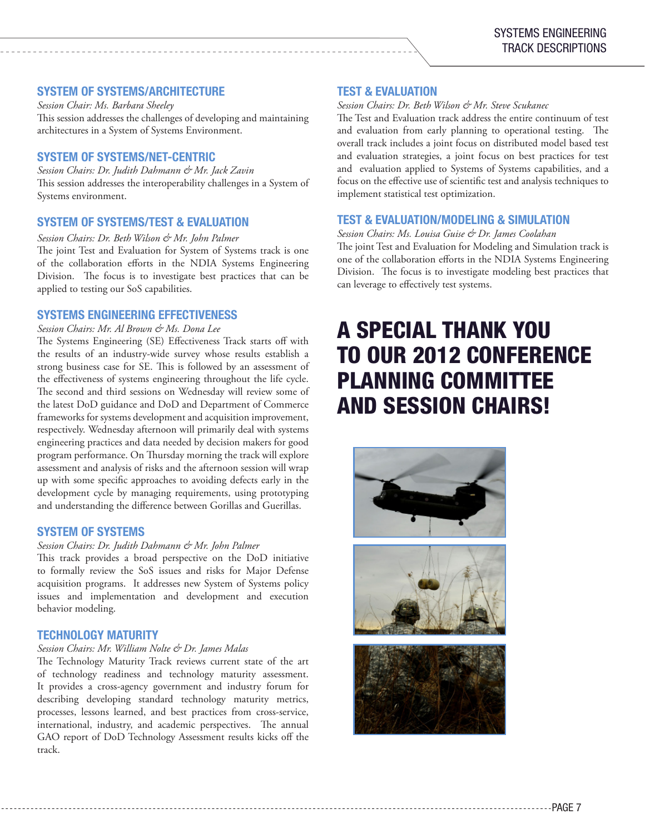#### SYSTEM OF SYSTEMS/ARCHITECTURE

*Session Chair: Ms. Barbara Sheeley* This session addresses the challenges of developing and maintaining architectures in a System of Systems Environment.

#### SYSTEM OF SYSTEMS/NET-CENTRIC

*Session Chairs: Dr. Judith Dahmann & Mr. Jack Zavin* This session addresses the interoperability challenges in a System of Systems environment.

#### SYSTEM OF SYSTEMS/TEST & EVALUATION

*Session Chairs: Dr. Beth Wilson & Mr. John Palmer* The joint Test and Evaluation for System of Systems track is one of the collaboration efforts in the NDIA Systems Engineering Division. The focus is to investigate best practices that can be applied to testing our SoS capabilities.

#### SYSTEMS ENGINEERING EFFECTIVENESS

*Session Chairs: Mr. Al Brown & Ms. Dona Lee*

The Systems Engineering (SE) Effectiveness Track starts off with the results of an industry-wide survey whose results establish a strong business case for SE. This is followed by an assessment of the effectiveness of systems engineering throughout the life cycle. The second and third sessions on Wednesday will review some of the latest DoD guidance and DoD and Department of Commerce frameworks for systems development and acquisition improvement, respectively. Wednesday afternoon will primarily deal with systems engineering practices and data needed by decision makers for good program performance. On Thursday morning the track will explore assessment and analysis of risks and the afternoon session will wrap up with some specific approaches to avoiding defects early in the development cycle by managing requirements, using prototyping and understanding the difference between Gorillas and Guerillas.

#### SYSTEM OF SYSTEMS

#### *Session Chairs: Dr. Judith Dahmann & Mr. John Palmer*

This track provides a broad perspective on the DoD initiative to formally review the SoS issues and risks for Major Defense acquisition programs. It addresses new System of Systems policy issues and implementation and development and execution behavior modeling.

#### TECHNOLOGY MATURITY

#### *Session Chairs: Mr. William Nolte & Dr. James Malas*

The Technology Maturity Track reviews current state of the art of technology readiness and technology maturity assessment. It provides a cross-agency government and industry forum for describing developing standard technology maturity metrics, processes, lessons learned, and best practices from cross-service, international, industry, and academic perspectives. The annual GAO report of DoD Technology Assessment results kicks off the track.

#### TEST & EVALUATION

#### *Session Chairs: Dr. Beth Wilson & Mr. Steve Scukanec*

The Test and Evaluation track address the entire continuum of test and evaluation from early planning to operational testing. The overall track includes a joint focus on distributed model based test and evaluation strategies, a joint focus on best practices for test and evaluation applied to Systems of Systems capabilities, and a focus on the effective use of scientific test and analysis techniques to implement statistical test optimization.

#### TEST & EVALUATION/MODELING & SIMULATION

*Session Chairs: Ms. Louisa Guise & Dr. James Coolahan* The joint Test and Evaluation for Modeling and Simulation track is one of the collaboration efforts in the NDIA Systems Engineering Division. The focus is to investigate modeling best practices that can leverage to effectively test systems.

## A SPECIAL THANK YOU TO OUR 2012 CONFERENCE PLANNING COMMITTEE AND SESSION CHAIRS!





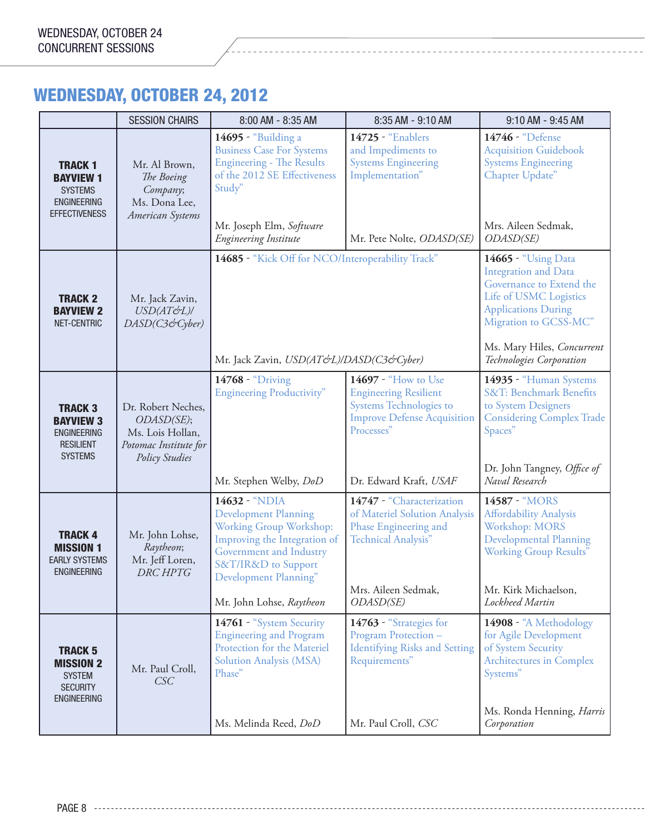## WEDNESDAY, OCTOBER 24, 2012

|                                                                                                    | <b>SESSION CHAIRS</b>                                                                           | 8:00 AM - 8:35 AM                                                                                                                                                                                              | 8:35 AM - 9:10 AM                                                                                                                                                   | 9:10 AM - 9:45 AM                                                                                                                                                                                                         |
|----------------------------------------------------------------------------------------------------|-------------------------------------------------------------------------------------------------|----------------------------------------------------------------------------------------------------------------------------------------------------------------------------------------------------------------|---------------------------------------------------------------------------------------------------------------------------------------------------------------------|---------------------------------------------------------------------------------------------------------------------------------------------------------------------------------------------------------------------------|
| <b>TRACK 1</b><br><b>BAYVIEW 1</b><br><b>SYSTEMS</b><br><b>ENGINEERING</b><br><b>EFFECTIVENESS</b> | Mr. Al Brown,<br>The Boeing<br>Company;<br>Ms. Dona Lee,<br>American Systems                    | 14695 - "Building a<br><b>Business Case For Systems</b><br><b>Engineering - The Results</b><br>of the 2012 SE Effectiveness<br>Study"<br>Mr. Joseph Elm, Software<br>Engineering Institute                     | 14725 - "Enablers<br>and Impediments to<br><b>Systems Engineering</b><br>Implementation"<br>Mr. Pete Nolte, ODASD(SE)                                               | 14746 - "Defense<br><b>Acquisition Guidebook</b><br><b>Systems Engineering</b><br>Chapter Update"<br>Mrs. Aileen Sedmak,<br>ODASD(SE)                                                                                     |
| <b>TRACK 2</b><br><b>BAYVIEW 2</b><br>NET-CENTRIC                                                  | Mr. Jack Zavin,<br>USD(AT&L)/<br>DASD(C3&Cyber)                                                 | 14685 - "Kick Off for NCO/Interoperability Track"<br>Mr. Jack Zavin, USD(AT&L)/DASD(C3&Cyber)                                                                                                                  |                                                                                                                                                                     | 14665 - "Using Data<br><b>Integration and Data</b><br>Governance to Extend the<br>Life of USMC Logistics<br><b>Applications During</b><br>Migration to GCSS-MC"<br>Ms. Mary Hiles, Concurrent<br>Technologies Corporation |
| <b>TRACK 3</b><br><b>BAYVIEW 3</b><br><b>ENGINEERING</b><br><b>RESILIENT</b><br><b>SYSTEMS</b>     | Dr. Robert Neches,<br>ODASD(SE);<br>Ms. Lois Hollan,<br>Potomac Institute for<br>Policy Studies | 14768 - "Driving<br><b>Engineering Productivity"</b><br>Mr. Stephen Welby, DoD                                                                                                                                 | 14697 - "How to Use<br><b>Engineering Resilient</b><br><b>Systems Technologies to</b><br><b>Improve Defense Acquisition</b><br>Processes"<br>Dr. Edward Kraft, USAF | 14935 - "Human Systems<br>S&T: Benchmark Benefits<br>to System Designers<br><b>Considering Complex Trade</b><br>Spaces"<br>Dr. John Tangney, Office of<br>Naval Research                                                  |
| <b>TRACK 4</b><br><b>MISSION 1</b><br><b>EARLY SYSTEMS</b><br><b>ENGINEERING</b>                   | Mr. John Lohse,<br>Raytheon;<br>Mr. Jeff Loren,<br>DRC HPTG                                     | 14632 - "NDIA<br><b>Development Planning</b><br>Working Group Workshop:<br>Improving the Integration of<br>Government and Industry<br>S&T/IR&D to Support<br>Development Planning"<br>Mr. John Lohse, Raytheon | 14747 - "Characterization<br>of Materiel Solution Analysis<br>Phase Engineering and<br>Technical Analysis"<br>Mrs. Aileen Sedmak,<br>ODASD(SE)                      | 14587 - "MORS<br><b>Affordability Analysis</b><br>Workshop: MORS<br>Developmental Planning<br><b>Working Group Results"</b><br>Mr. Kirk Michaelson,<br>Lockheed Martin                                                    |
| <b>TRACK 5</b><br><b>MISSION 2</b><br><b>SYSTEM</b><br><b>SECURITY</b><br><b>ENGINEERING</b>       | Mr. Paul Croll,<br>CSC                                                                          | 14761 - "System Security<br><b>Engineering and Program</b><br>Protection for the Materiel<br>Solution Analysis (MSA)<br>Phase"<br>Ms. Melinda Reed, DoD                                                        | 14763 - "Strategies for<br>Program Protection -<br><b>Identifying Risks and Setting</b><br>Requirements"<br>Mr. Paul Croll, CSC                                     | 14908 - "A Methodology<br>for Agile Development<br>of System Security<br>Architectures in Complex<br>Systems"<br>Ms. Ronda Henning, Harris<br>Corporation                                                                 |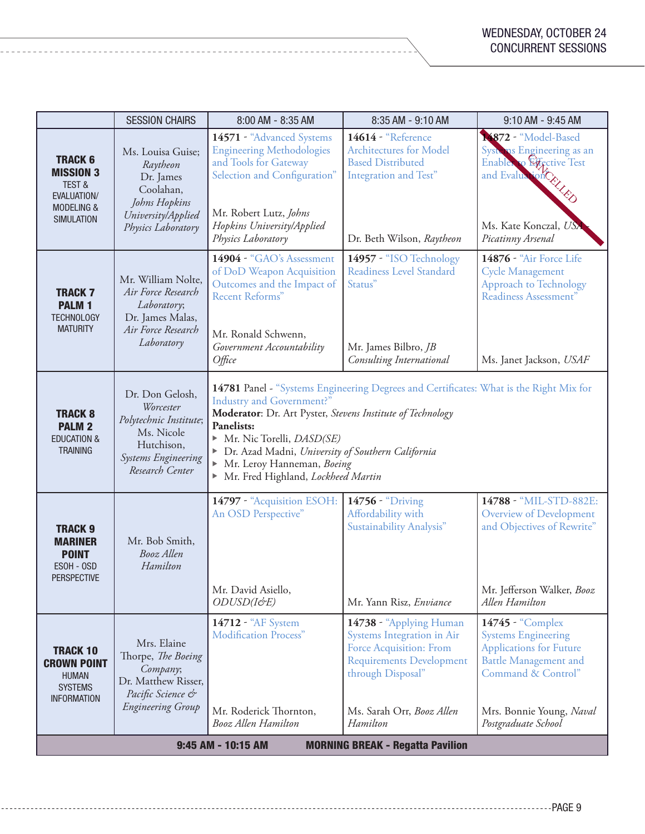|                                                                                                                      | <b>SESSION CHAIRS</b>                                                                                                        | 8:00 AM - 8:35 AM                                                                                                                                                                                                                                                                                                                                              | 8:35 AM - 9:10 AM                                                                                                                                                                        | 9:10 AM - 9:45 AM                                                                                                                                                                         |
|----------------------------------------------------------------------------------------------------------------------|------------------------------------------------------------------------------------------------------------------------------|----------------------------------------------------------------------------------------------------------------------------------------------------------------------------------------------------------------------------------------------------------------------------------------------------------------------------------------------------------------|------------------------------------------------------------------------------------------------------------------------------------------------------------------------------------------|-------------------------------------------------------------------------------------------------------------------------------------------------------------------------------------------|
| <b>TRACK 6</b><br><b>MISSION 3</b><br><b>TEST &amp;</b><br>EVALUATION/<br><b>MODELING &amp;</b><br><b>SIMULATION</b> | Ms. Louisa Guise;<br>Raytheon<br>Dr. James<br>Coolahan,<br>Johns Hopkins<br>University/Applied<br>Physics Laboratory         | 14571 - "Advanced Systems<br><b>Engineering Methodologies</b><br>and Tools for Gateway<br>Selection and Configuration"<br>Mr. Robert Lutz, Johns<br>Hopkins University/Applied<br>Physics Laboratory                                                                                                                                                           | 14614 - "Reference<br><b>Architectures for Model</b><br><b>Based Distributed</b><br>Integration and Test"<br>Dr. Beth Wilson, Raytheon                                                   | 14872 - "Model-Based<br>Systems Engineering as an<br>Enables to Effective Test<br>Enable of Every<br>Ms. Kate Konczal, USX<br>Picatinny Arsenal                                           |
| <b>TRACK7</b><br><b>PALM1</b><br><b>TECHNOLOGY</b><br><b>MATURITY</b>                                                | Mr. William Nolte,<br>Air Force Research<br>Laboratory;<br>Dr. James Malas,<br>Air Force Research<br>Laboratory              | 14904 - "GAO's Assessment<br>of DoD Weapon Acquisition<br>Outcomes and the Impact of<br>Recent Reforms"<br>Mr. Ronald Schwenn,<br>Government Accountability<br>$O$ <i>ffice</i>                                                                                                                                                                                | 14957 - "ISO Technology<br>Readiness Level Standard<br>Status"<br>Mr. James Bilbro, JB<br>Consulting International                                                                       | 14876 - "Air Force Life<br><b>Cycle Management</b><br><b>Approach to Technology</b><br>Readiness Assessment"<br>Ms. Janet Jackson, USAF                                                   |
| <b>TRACK 8</b><br><b>PALM 2</b><br><b>EDUCATION &amp;</b><br><b>TRAINING</b>                                         | Dr. Don Gelosh,<br>Worcester<br>Polytechnic Institute;<br>Ms. Nicole<br>Hutchison,<br>Systems Engineering<br>Research Center | 14781 Panel - "Systems Engineering Degrees and Certificates: What is the Right Mix for<br>Industry and Government?"<br>Moderator: Dr. Art Pyster, Stevens Institute of Technology<br>Panelists:<br>Mr. Nic Torelli, <i>DASD(SE)</i><br>> Dr. Azad Madni, University of Southern California<br>Mr. Leroy Hanneman, Boeing<br>Mr. Fred Highland, Lockheed Martin |                                                                                                                                                                                          |                                                                                                                                                                                           |
| <b>TRACK 9</b><br><b>MARINER</b><br><b>POINT</b><br>ESOH - OSD<br>PERSPECTIVE                                        | Mr. Bob Smith,<br>Booz Allen<br>Hamilton                                                                                     | 14797 - "Acquisition ESOH:<br>An OSD Perspective"<br>Mr. David Asiello,<br>ODUSD(I&E)                                                                                                                                                                                                                                                                          | 14756 - "Driving<br>Affordability with<br><b>Sustainability Analysis"</b><br>Mr. Yann Risz, Enviance                                                                                     | 14788 - "MIL-STD-882E:<br><b>Overview of Development</b><br>and Objectives of Rewrite"<br>Mr. Jefferson Walker, Booz<br>Allen Hamilton                                                    |
| <b>TRACK 10</b><br><b>CROWN POINT</b><br><b>HUMAN</b><br><b>SYSTEMS</b><br><b>INFORMATION</b>                        | Mrs. Elaine<br>Thorpe, The Boeing<br>Company;<br>Dr. Matthew Risser,<br>Pacific Science &<br><b>Engineering Group</b>        | 14712 - "AF System<br>Modification Process"<br>Mr. Roderick Thornton,<br><b>Booz Allen Hamilton</b>                                                                                                                                                                                                                                                            | 14738 - "Applying Human<br>Systems Integration in Air<br><b>Force Acquisition: From</b><br><b>Requirements Development</b><br>through Disposal"<br>Ms. Sarah Orr, Booz Allen<br>Hamilton | 14745 - "Complex<br><b>Systems Engineering</b><br><b>Applications for Future</b><br><b>Battle Management and</b><br>Command & Control"<br>Mrs. Bonnie Young, Naval<br>Postgraduate School |
| 9:45 AM - 10:15 AM<br><b>MORNING BREAK - Regatta Pavilion</b>                                                        |                                                                                                                              |                                                                                                                                                                                                                                                                                                                                                                |                                                                                                                                                                                          |                                                                                                                                                                                           |

------------------------------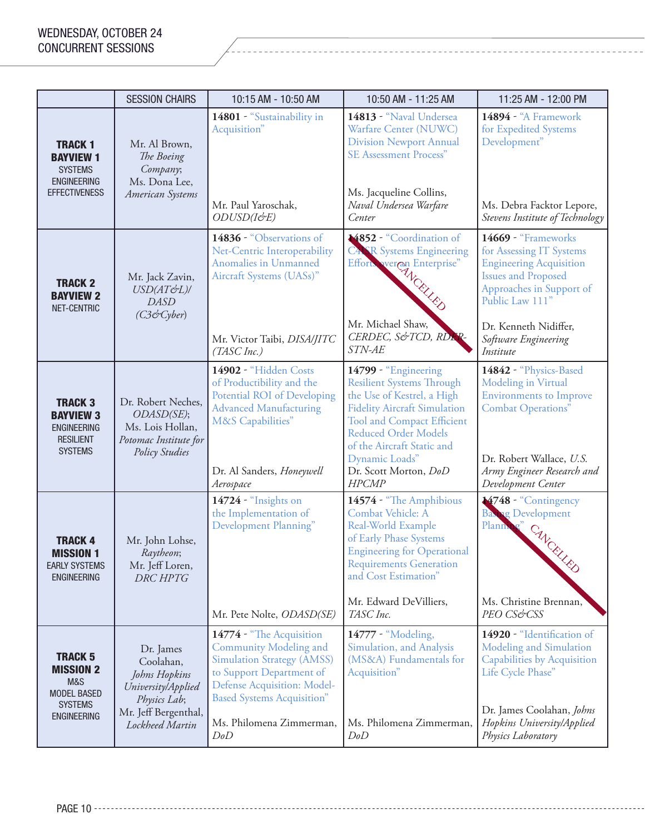|                                                                                                         | <b>SESSION CHAIRS</b>                                                                                                    | 10:15 AM - 10:50 AM                                                                                                                                                                                                               | 10:50 AM - 11:25 AM                                                                                                                                                                                                                                                                 | 11:25 AM - 12:00 PM                                                                                                                                                                                                          |
|---------------------------------------------------------------------------------------------------------|--------------------------------------------------------------------------------------------------------------------------|-----------------------------------------------------------------------------------------------------------------------------------------------------------------------------------------------------------------------------------|-------------------------------------------------------------------------------------------------------------------------------------------------------------------------------------------------------------------------------------------------------------------------------------|------------------------------------------------------------------------------------------------------------------------------------------------------------------------------------------------------------------------------|
| <b>TRACK 1</b><br><b>Bayview 1</b><br><b>SYSTEMS</b><br><b>ENGINEERING</b><br><b>EFFECTIVENESS</b>      | Mr. Al Brown,<br>The Boeing<br>Company;<br>Ms. Dona Lee,<br>American Systems                                             | 14801 - "Sustainability in<br>Acquisition"<br>Mr. Paul Yaroschak,<br>ODUSD(I&E)                                                                                                                                                   | 14813 - "Naval Undersea<br>Warfare Center (NUWC)<br><b>Division Newport Annual</b><br><b>SE Assessment Process"</b><br>Ms. Jacqueline Collins,<br>Naval Undersea Warfare<br>Center                                                                                                  | 14894 - "A Framework<br>for Expedited Systems<br>Development"<br>Ms. Debra Facktor Lepore,<br>Stevens Institute of Technology                                                                                                |
| <b>TRACK 2</b><br><b>BAYVIEW 2</b><br>NET-CENTRIC                                                       | Mr. Jack Zavin,<br>USD(AT&L)/<br><b>DASD</b><br>(C3&Cyber)                                                               | 14836 - "Observations of<br>Net-Centric Interoperability<br>Anomalies in Unmanned<br>Aircraft Systems (UASs)"<br>Mr. Victor Taibi, DISA/JITC<br>(TASC Inc.)                                                                       | 4852 - "Coordination of<br><b>CASR</b> Systems Engineering<br>Effort werein Enterprise"<br>Mr. Michael Shaw,<br>CERDEC, S&TCD, RDE<br>STN-AE                                                                                                                                        | 14669 - "Frameworks<br>for Assessing IT Systems<br><b>Engineering Acquisition</b><br><b>Issues and Proposed</b><br>Approaches in Support of<br>Public Law 111"<br>Dr. Kenneth Nidiffer,<br>Software Engineering<br>Institute |
| <b>TRACK 3</b><br><b>BAYVIEW 3</b><br><b>ENGINEERING</b><br><b>RESILIENT</b><br><b>SYSTEMS</b>          | Dr. Robert Neches,<br>ODASD(SE);<br>Ms. Lois Hollan,<br>Potomac Institute for<br><b>Policy Studies</b>                   | 14902 - "Hidden Costs<br>of Productibility and the<br>Potential ROI of Developing<br><b>Advanced Manufacturing</b><br>M&S Capabilities"<br>Dr. Al Sanders, Honeywell<br>Aerospace                                                 | 14799 - "Engineering<br><b>Resilient Systems Through</b><br>the Use of Kestrel, a High<br><b>Fidelity Aircraft Simulation</b><br>Tool and Compact Efficient<br><b>Reduced Order Models</b><br>of the Aircraft Static and<br>Dynamic Loads"<br>Dr. Scott Morton, DoD<br><b>HPCMP</b> | 14842 - "Physics-Based<br>Modeling in Virtual<br><b>Environments to Improve</b><br><b>Combat Operations"</b><br>Dr. Robert Wallace, U.S.<br>Army Engineer Research and<br>Development Center                                 |
| <b>TRACK 4</b><br><b>MISSION 1</b><br><b>EARLY SYSTEMS</b><br><b>ENGINEERING</b>                        | Mr. John Lohse,<br>Raytheon;<br>Mr. Jeff Loren,<br><b>DRC HPTG</b>                                                       | 14724 - "Insights on<br>the Implementation of<br>Development Planning"<br>Mr. Pete Nolte, ODASD(SE)                                                                                                                               | 14574 - "The Amphibious<br>Combat Vehicle: A<br>Real-World Example<br>of Early Phase Systems<br><b>Engineering for Operational</b><br><b>Requirements Generation</b><br>and Cost Estimation"<br>Mr. Edward DeVilliers,<br>TASC Inc.                                                 | ¥748 - "Contingency<br><b>Basing Development</b><br>Plann<br>CANCELLED<br>Ms. Christine Brennan,<br>PEO CS&CSS                                                                                                               |
| <b>TRACK 5</b><br><b>MISSION 2</b><br>M&S<br><b>MODEL BASED</b><br><b>SYSTEMS</b><br><b>ENGINEERING</b> | Dr. James<br>Coolahan,<br>Johns Hopkins<br>University/Applied<br>Physics Lab;<br>Mr. Jeff Bergenthal,<br>Lockheed Martin | 14774 - "The Acquisition<br><b>Community Modeling and</b><br><b>Simulation Strategy (AMSS)</b><br>to Support Department of<br>Defense Acquisition: Model-<br><b>Based Systems Acquisition"</b><br>Ms. Philomena Zimmerman,<br>DoD | 14777 - "Modeling,<br>Simulation, and Analysis<br>(MS&A) Fundamentals for<br>Acquisition"<br>Ms. Philomena Zimmerman,<br>DoD                                                                                                                                                        | 14920 - "Identification of<br>Modeling and Simulation<br>Capabilities by Acquisition<br>Life Cycle Phase"<br>Dr. James Coolahan, Johns<br>Hopkins University/Applied<br>Physics Laboratory                                   |

PAGE 10 -----------------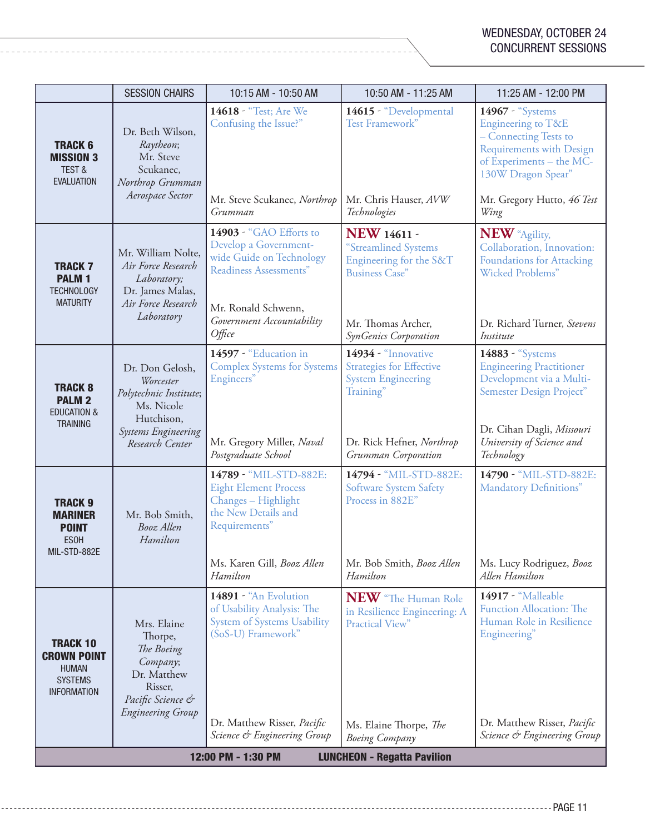|                                                                                               | <b>SESSION CHAIRS</b>                                                                                                               | 10:15 AM - 10:50 AM                                                                                                                                                            | 10:50 AM - 11:25 AM                                                                                                                                  | 11:25 AM - 12:00 PM                                                                                                                                                                 |
|-----------------------------------------------------------------------------------------------|-------------------------------------------------------------------------------------------------------------------------------------|--------------------------------------------------------------------------------------------------------------------------------------------------------------------------------|------------------------------------------------------------------------------------------------------------------------------------------------------|-------------------------------------------------------------------------------------------------------------------------------------------------------------------------------------|
| <b>TRACK 6</b><br><b>MISSION 3</b><br><b>TEST &amp;</b><br><b>EVALUATION</b>                  | Dr. Beth Wilson,<br>Raytheon;<br>Mr. Steve<br>Scukanec,<br>Northrop Grumman<br>Aerospace Sector                                     | 14618 - "Test; Are We<br>Confusing the Issue?"<br>Mr. Steve Scukanec, Northrop<br>Grumman                                                                                      | 14615 - "Developmental<br>Test Framework"<br>Mr. Chris Hauser, AVW<br>Technologies                                                                   | 14967 - "Systems<br>Engineering to T&E<br>- Connecting Tests to<br>Requirements with Design<br>of Experiments - the MC-<br>130W Dragon Spear"<br>Mr. Gregory Hutto, 46 Test<br>Wing |
| <b>TRACK 7</b><br><b>PALM 1</b><br><b>TECHNOLOGY</b><br><b>MATURITY</b>                       | Mr. William Nolte,<br>Air Force Research<br>Laboratory;<br>Dr. James Malas,<br>Air Force Research<br>Laboratory                     | 14903 - "GAO Efforts to<br>Develop a Government-<br>wide Guide on Technology<br>Readiness Assessments"<br>Mr. Ronald Schwenn,<br>Government Accountability<br>$O$ <i>ffice</i> | <b>NEW 14611 -</b><br>"Streamlined Systems<br>Engineering for the S&T<br><b>Business Case"</b><br>Mr. Thomas Archer,<br>SynGenics Corporation        | <b>NEW</b> "Agility,<br>Collaboration, Innovation:<br>Foundations for Attacking<br><b>Wicked Problems"</b><br>Dr. Richard Turner, Stevens<br>Institute                              |
| <b>TRACK 8</b><br><b>PALM 2</b><br><b>EDUCATION &amp;</b><br><b>TRAINING</b>                  | Dr. Don Gelosh,<br>Worcester<br>Polytechnic Institute;<br>Ms. Nicole<br>Hutchison,<br><b>Systems Engineering</b><br>Research Center | 14597 - "Education in<br><b>Complex Systems for Systems</b><br>Engineers"<br>Mr. Gregory Miller, Naval<br>Postgraduate School                                                  | 14934 - "Innovative<br><b>Strategies for Effective</b><br><b>System Engineering</b><br>Training"<br>Dr. Rick Hefner, Northrop<br>Grumman Corporation | 14883 - "Systems<br><b>Engineering Practitioner</b><br>Development via a Multi-<br>Semester Design Project"<br>Dr. Cihan Dagli, Missouri<br>University of Science and<br>Technology |
| <b>TRACK 9</b><br><b>MARINER</b><br><b>POINT</b><br><b>ESOH</b><br>MIL-STD-882E               | Mr. Bob Smith,<br>Booz Allen<br>Hamilton                                                                                            | 14789 - "MIL-STD-882E:<br><b>Eight Element Process</b><br>Changes - Highlight<br>the New Details and<br>Requirements"<br>Ms. Karen Gill, Booz Allen<br>Hamilton                | 14794 - "MIL-STD-882E:<br><b>Software System Safety</b><br>Process in 882E"<br>Mr. Bob Smith, Booz Allen<br>Hamilton                                 | 14790 - "MIL-STD-882E:<br>Mandatory Definitions"<br>Ms. Lucy Rodriguez, Booz<br>Allen Hamilton                                                                                      |
| <b>TRACK 10</b><br><b>CROWN POINT</b><br><b>HUMAN</b><br><b>SYSTEMS</b><br><b>INFORMATION</b> | Mrs. Elaine<br>Thorpe,<br>The Boeing<br>Company;<br>Dr. Matthew<br>Risser,<br>Pacific Science &<br><b>Engineering Group</b>         | 14891 - "An Evolution<br>of Usability Analysis: The<br><b>System of Systems Usability</b><br>(SoS-U) Framework"<br>Dr. Matthew Risser, Pacific<br>Science & Engineering Group  | NEW "The Human Role<br>in Resilience Engineering: A<br>Practical View"<br>Ms. Elaine Thorpe, The<br><b>Boeing Company</b>                            | 14917 - "Malleable<br><b>Function Allocation: The</b><br>Human Role in Resilience<br>Engineering"<br>Dr. Matthew Risser, Pacific<br>Science & Engineering Group                     |
| 12:00 PM - 1:30 PM<br><b>LUNCHEON - Regatta Pavilion</b>                                      |                                                                                                                                     |                                                                                                                                                                                |                                                                                                                                                      |                                                                                                                                                                                     |

-----------------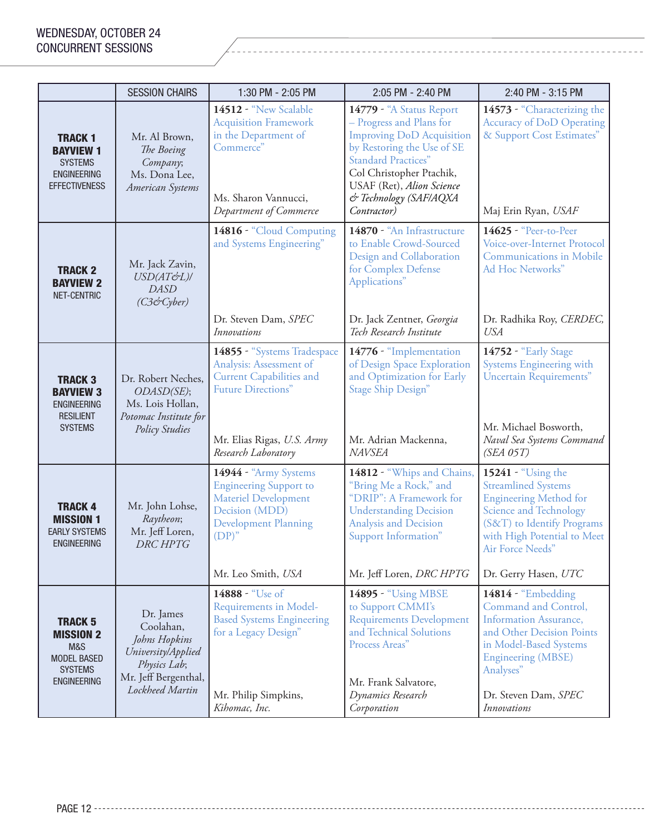|                                                                                                         | <b>SESSION CHAIRS</b>                                                                                                    | 1:30 PM - 2:05 PM                                                                                                                                                                                 | 2:05 PM - 2:40 PM                                                                                                                                                                                                                                      | 2:40 PM - 3:15 PM                                                                                                                                                                                                           |
|---------------------------------------------------------------------------------------------------------|--------------------------------------------------------------------------------------------------------------------------|---------------------------------------------------------------------------------------------------------------------------------------------------------------------------------------------------|--------------------------------------------------------------------------------------------------------------------------------------------------------------------------------------------------------------------------------------------------------|-----------------------------------------------------------------------------------------------------------------------------------------------------------------------------------------------------------------------------|
| <b>TRACK 1</b><br><b>BAYVIEW 1</b><br><b>SYSTEMS</b><br><b>ENGINEERING</b><br><b>EFFECTIVENESS</b>      | Mr. Al Brown,<br>The Boeing<br>Company;<br>Ms. Dona Lee,<br>American Systems                                             | 14512 - "New Scalable<br><b>Acquisition Framework</b><br>in the Department of<br>Commerce"<br>Ms. Sharon Vannucci,<br>Department of Commerce                                                      | 14779 - "A Status Report<br>- Progress and Plans for<br><b>Improving DoD Acquisition</b><br>by Restoring the Use of SE<br><b>Standard Practices"</b><br>Col Christopher Ptachik,<br>USAF (Ret), Alion Science<br>& Technology (SAF/AQXA<br>Contractor) | 14573 - "Characterizing the<br><b>Accuracy of DoD Operating</b><br>& Support Cost Estimates"<br>Maj Erin Ryan, USAF                                                                                                         |
| <b>TRACK 2</b><br><b>BAYVIEW 2</b><br>NET-CENTRIC                                                       | Mr. Jack Zavin,<br>USD(AT&L)/<br><b>DASD</b><br>(C3CCyber)                                                               | 14816 - "Cloud Computing<br>and Systems Engineering"<br>Dr. Steven Dam, SPEC                                                                                                                      | 14870 - "An Infrastructure<br>to Enable Crowd-Sourced<br>Design and Collaboration<br>for Complex Defense<br>Applications"<br>Dr. Jack Zentner, Georgia                                                                                                 | 14625 - "Peer-to-Peer<br>Voice-over-Internet Protocol<br><b>Communications in Mobile</b><br>Ad Hoc Networks"<br>Dr. Radhika Roy, CERDEC,                                                                                    |
| <b>TRACK 3</b><br><b>BAYVIEW 3</b><br><b>ENGINEERING</b><br><b>RESILIENT</b><br><b>SYSTEMS</b>          | Dr. Robert Neches,<br>ODASD(SE);<br>Ms. Lois Hollan,<br>Potomac Institute for<br><b>Policy Studies</b>                   | <b>Innovations</b><br>14855 - "Systems Tradespace<br>Analysis: Assessment of<br><b>Current Capabilities and</b><br><b>Future Directions"</b><br>Mr. Elias Rigas, U.S. Army<br>Research Laboratory | Tech Research Institute<br>14776 - "Implementation<br>of Design Space Exploration<br>and Optimization for Early<br><b>Stage Ship Design"</b><br>Mr. Adrian Mackenna,<br><b>NAVSEA</b>                                                                  | <b>USA</b><br>14752 - "Early Stage<br>Systems Engineering with<br><b>Uncertain Requirements"</b><br>Mr. Michael Bosworth,<br>Naval Sea Systems Command<br>$(SEA$ $05T)$                                                     |
| <b>TRACK 4</b><br><b>MISSION 1</b><br><b>EARLY SYSTEMS</b><br><b>ENGINEERING</b>                        | Mr. John Lohse,<br>Raytheon;<br>Mr. Jeff Loren,<br><b>DRC HPTG</b>                                                       | 14944 - "Army Systems<br><b>Engineering Support to</b><br>Materiel Development<br>Decision (MDD)<br><b>Development Planning</b><br>$(DP)$ "<br>Mr. Leo Smith, USA                                 | 14812 - "Whips and Chains,<br>"Bring Me a Rock," and<br>"DRIP": A Framework for<br><b>Understanding Decision</b><br>Analysis and Decision<br>Support Information"<br>Mr. Jeff Loren, DRC HPTG                                                          | 15241 - "Using the<br><b>Streamlined Systems</b><br><b>Engineering Method for</b><br><b>Science and Technology</b><br>(S&T) to Identify Programs<br>with High Potential to Meet<br>Air Force Needs"<br>Dr. Gerry Hasen, UTC |
| <b>TRACK 5</b><br><b>MISSION 2</b><br>M&S<br><b>MODEL BASED</b><br><b>SYSTEMS</b><br><b>ENGINEERING</b> | Dr. James<br>Coolahan,<br>Johns Hopkins<br>University/Applied<br>Physics Lab;<br>Mr. Jeff Bergenthal,<br>Lockheed Martin | 14888 - "Use of<br>Requirements in Model-<br><b>Based Systems Engineering</b><br>for a Legacy Design"<br>Mr. Philip Simpkins,<br>Kihomac, Inc.                                                    | 14895 - "Using MBSE<br>to Support CMMI's<br><b>Requirements Development</b><br>and Technical Solutions<br>Process Areas"<br>Mr. Frank Salvatore,<br>Dynamics Research<br>Corporation                                                                   | 14814 - "Embedding<br>Command and Control,<br><b>Information Assurance,</b><br>and Other Decision Points<br>in Model-Based Systems<br><b>Engineering (MBSE)</b><br>Analyses"<br>Dr. Steven Dam, SPEC<br><i>Innovations</i>  |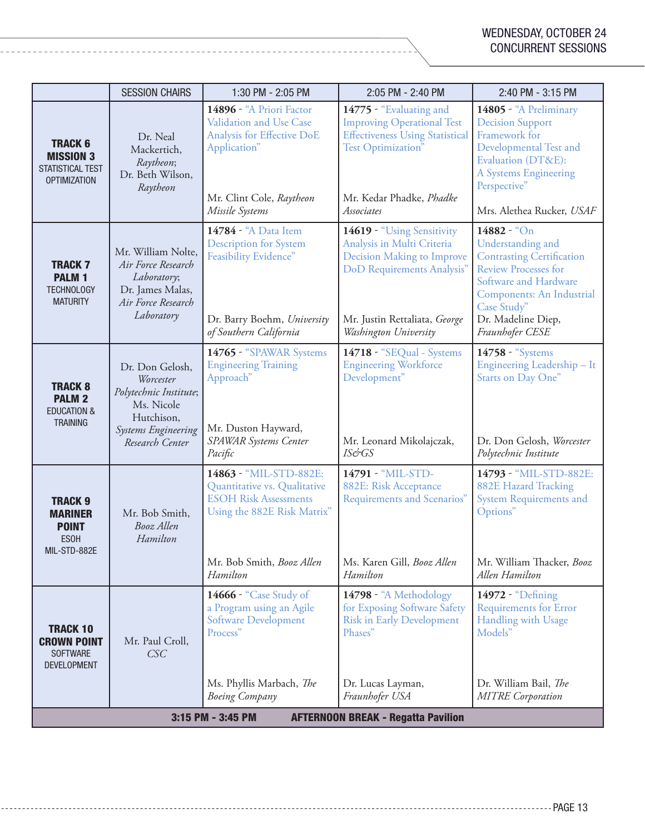|                                                                                 | <b>SESSION CHAIRS</b>                                                                                                               | 1:30 PM - 2:05 PM                                                                                                                                              | 2:05 PM - 2:40 PM                                                                                                                                                              | 2:40 PM - 3:15 PM                                                                                                                                                                                                                     |
|---------------------------------------------------------------------------------|-------------------------------------------------------------------------------------------------------------------------------------|----------------------------------------------------------------------------------------------------------------------------------------------------------------|--------------------------------------------------------------------------------------------------------------------------------------------------------------------------------|---------------------------------------------------------------------------------------------------------------------------------------------------------------------------------------------------------------------------------------|
| <b>TRACK 6</b><br><b>MISSION 3</b><br>STATISTICAL TEST<br><b>OPTIMIZATION</b>   | Dr. Neal<br>Mackertich,<br>Raytheon;<br>Dr. Beth Wilson,<br>Raytheon                                                                | 14896 - "A Priori Factor<br>Validation and Use Case<br>Analysis for Effective DoE<br>Application"<br>Mr. Clint Cole, Raytheon<br>Missile Systems               | 14775 - "Evaluating and<br><b>Improving Operational Test</b><br><b>Effectiveness Using Statistical</b><br>Test Optimization"<br>Mr. Kedar Phadke, Phadke<br>Associates         | 14805 - "A Preliminary<br><b>Decision Support</b><br>Framework for<br>Developmental Test and<br>Evaluation (DT&E):<br>A Systems Engineering<br>Perspective"<br>Mrs. Alethea Rucker, USAF                                              |
| <b>TRACK 7</b><br><b>PALM1</b><br><b>TECHNOLOGY</b><br><b>MATURITY</b>          | Mr. William Nolte,<br>Air Force Research<br>Laboratory;<br>Dr. James Malas,<br>Air Force Research<br>Laboratory                     | 14784 - "A Data Item<br><b>Description for System</b><br>Feasibility Evidence"<br>Dr. Barry Boehm, University<br>of Southern California                        | 14619 - "Using Sensitivity<br>Analysis in Multi Criteria<br>Decision Making to Improve<br>DoD Requirements Analysis"<br>Mr. Justin Rettaliata, George<br>Washington University | $14882 - {^{\omega} \text{On}}$<br>Understanding and<br><b>Contrasting Certification</b><br><b>Review Processes for</b><br>Software and Hardware<br>Components: An Industrial<br>Case Study"<br>Dr. Madeline Diep,<br>Fraunhofer CESE |
| <b>TRACK 8</b><br><b>PALM 2</b><br><b>EDUCATION &amp;</b><br><b>TRAINING</b>    | Dr. Don Gelosh,<br>Worcester<br>Polytechnic Institute;<br>Ms. Nicole<br>Hutchison,<br><b>Systems Engineering</b><br>Research Center | 14765 - "SPAWAR Systems<br><b>Engineering Training</b><br>Approach"<br>Mr. Duston Hayward,<br>SPAWAR Systems Center<br>Pacific                                 | 14718 - "SEQual - Systems<br><b>Engineering Workforce</b><br>Development"<br>Mr. Leonard Mikolajczak,<br><b>IS&amp;GS</b>                                                      | 14758 - "Systems<br>Engineering Leadership - It<br>Starts on Day One"<br>Dr. Don Gelosh, Worcester<br>Polytechnic Institute                                                                                                           |
| <b>TRACK 9</b><br><b>MARINER</b><br><b>POINT</b><br><b>ESOH</b><br>MIL-STD-882E | Mr. Bob Smith,<br>Booz Allen<br>Hamilton                                                                                            | 14863 - "MIL-STD-882E:<br>Quantitative vs. Qualitative<br><b>ESOH Risk Assessments</b><br>Using the 882E Risk Matrix"<br>Mr. Bob Smith, Booz Allen<br>Hamilton | 14791 - "MIL-STD-<br>882E: Risk Acceptance<br>Requirements and Scenarios"<br>Ms. Karen Gill, Booz Allen<br>Hamilton                                                            | 14793 - "MIL-STD-882E:<br><b>882E Hazard Tracking</b><br><b>System Requirements and</b><br>Options"<br>Mr. William Thacker, Booz<br>Allen Hamilton                                                                                    |
| <b>TRACK 10</b><br><b>CROWN POINT</b><br><b>SOFTWARE</b><br><b>DEVELOPMENT</b>  | Mr. Paul Croll,<br>CSC                                                                                                              | 14666 - "Case Study of<br>a Program using an Agile<br><b>Software Development</b><br>Process"<br>Ms. Phyllis Marbach, The<br><b>Boeing Company</b>             | 14798 - "A Methodology<br>for Exposing Software Safety<br><b>Risk in Early Development</b><br>Phases"<br>Dr. Lucas Layman,<br>Fraunhofer USA                                   | 14972 - "Defining<br><b>Requirements for Error</b><br>Handling with Usage<br>Models"<br>Dr. William Bail, The<br><b>MITRE</b> Corporation                                                                                             |
| 3:15 PM - 3:45 PM<br><b>AFTERNOON BREAK - Regatta Pavilion</b>                  |                                                                                                                                     |                                                                                                                                                                |                                                                                                                                                                                |                                                                                                                                                                                                                                       |

--------------------------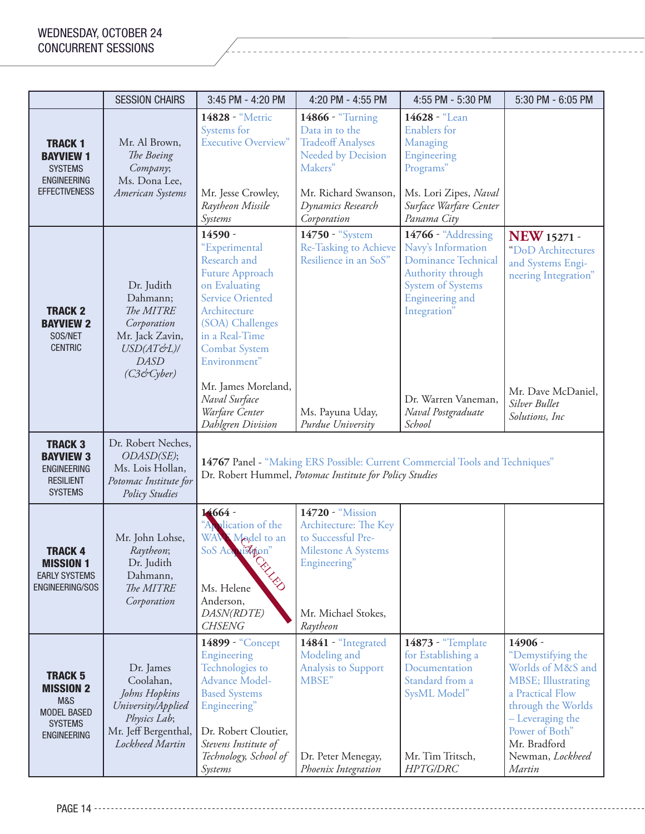|                                                                                                         | <b>SESSION CHAIRS</b>                                                                                                    | 3:45 PM - 4:20 PM                                                                                                                                                                                                                   | 4:20 PM - 4:55 PM                                                                                                                                                  | 4:55 PM - 5:30 PM                                                                                                                                    | 5:30 PM - 6:05 PM                                                                                                                                                                                             |
|---------------------------------------------------------------------------------------------------------|--------------------------------------------------------------------------------------------------------------------------|-------------------------------------------------------------------------------------------------------------------------------------------------------------------------------------------------------------------------------------|--------------------------------------------------------------------------------------------------------------------------------------------------------------------|------------------------------------------------------------------------------------------------------------------------------------------------------|---------------------------------------------------------------------------------------------------------------------------------------------------------------------------------------------------------------|
| <b>TRACK 1</b><br><b>BAYVIEW 1</b><br><b>SYSTEMS</b><br><b>ENGINEERING</b><br><b>EFFECTIVENESS</b>      | Mr. Al Brown,<br>The Boeing<br>Company;<br>Ms. Dona Lee,<br>American Systems                                             | 14828 - "Metric<br>Systems for<br><b>Executive Overview"</b><br>Mr. Jesse Crowley,<br>Raytheon Missile<br>Systems                                                                                                                   | 14866 - "Turning<br>Data in to the<br><b>Tradeoff Analyses</b><br><b>Needed by Decision</b><br>Makers"<br>Mr. Richard Swanson,<br>Dynamics Research<br>Corporation | 14628 - "Lean<br><b>Enablers</b> for<br>Managing<br>Engineering<br>Programs"<br>Ms. Lori Zipes, Naval<br>Surface Warfare Center<br>Panama City       |                                                                                                                                                                                                               |
| <b>TRACK 2</b><br><b>BAYVIEW 2</b><br>SOS/NET<br><b>CENTRIC</b>                                         | Dr. Judith<br>Dahmann;<br>The MITRE<br>Corporation<br>Mr. Jack Zavin,<br>USD(AT&L)/<br><b>DASD</b><br>(C3&Cyber)         | 14590 -<br>"Experimental<br>Research and<br><b>Future Approach</b><br>on Evaluating<br><b>Service Oriented</b><br>Architecture<br>(SOA) Challenges<br>in a Real-Time<br><b>Combat System</b><br>Environment"<br>Mr. James Moreland, | 14750 - "System<br>Re-Tasking to Achieve<br>Resilience in an SoS"                                                                                                  | 14766 - "Addressing<br>Navy's Information<br><b>Dominance Technical</b><br>Authority through<br>System of Systems<br>Engineering and<br>Integration" | <b>NEW</b> 15271 -<br>"DoD Architectures<br>and Systems Engi-<br>neering Integration"                                                                                                                         |
|                                                                                                         |                                                                                                                          | Naval Surface<br>Warfare Center<br>Dahlgren Division                                                                                                                                                                                | Ms. Payuna Uday,<br>Purdue University                                                                                                                              | Dr. Warren Vaneman,<br>Naval Postgraduate<br>School                                                                                                  | Mr. Dave McDaniel,<br>Silver Bullet<br>Solutions, Inc                                                                                                                                                         |
| <b>TRACK 3</b><br><b>BAYVIEW 3</b><br><b>ENGINEERING</b><br><b>RESILIENT</b><br><b>SYSTEMS</b>          | Dr. Robert Neches,<br>ODASD(SE);<br>Ms. Lois Hollan,<br>Potomac Institute for<br>Policy Studies                          |                                                                                                                                                                                                                                     | Dr. Robert Hummel, Potomac Institute for Policy Studies                                                                                                            | 14767 Panel - "Making ERS Possible: Current Commercial Tools and Techniques"                                                                         |                                                                                                                                                                                                               |
| <b>TRACK 4</b><br><b>MISSION 1</b><br><b>EARLY SYSTEMS</b><br>ENGINEERING/SOS                           | Mr. John Lohse,<br>Raytheon;<br>Dr. Judith<br>Dahmann,<br>The MITRE<br>Corporation                                       | $14664 -$<br>"Application of the<br>WANK Model to an<br>SoS Acquistion"<br><b>RELES</b><br>Ms. Helene<br>Anderson,<br>DASN(RDTE)<br><b>CHSENG</b>                                                                                   | 14720 - "Mission<br>Architecture: The Key<br>to Successful Pre-<br>Milestone A Systems<br>Engineering"<br>Mr. Michael Stokes,<br>Raytheon                          |                                                                                                                                                      |                                                                                                                                                                                                               |
| <b>TRACK 5</b><br><b>MISSION 2</b><br>M&S<br><b>MODEL BASED</b><br><b>SYSTEMS</b><br><b>ENGINEERING</b> | Dr. James<br>Coolahan,<br>Johns Hopkins<br>University/Applied<br>Physics Lab;<br>Mr. Jeff Bergenthal,<br>Lockheed Martin | 14899 - "Concept<br>Engineering<br>Technologies to<br><b>Advance Model-</b><br><b>Based Systems</b><br>Engineering"<br>Dr. Robert Cloutier,<br>Stevens Institute of<br>Technology, School of<br>Systems                             | 14841 - "Integrated<br>Modeling and<br>Analysis to Support<br>MBSE"<br>Dr. Peter Menegay,<br>Phoenix Integration                                                   | 14873 - "Template<br>for Establishing a<br>Documentation<br>Standard from a<br>SysML Model"<br>Mr. Tim Tritsch,<br><b>HPTG/DRC</b>                   | 14906 -<br>"Demystifying the<br>Worlds of M&S and<br><b>MBSE</b> ; Illustrating<br>a Practical Flow<br>through the Worlds<br>- Leveraging the<br>Power of Both"<br>Mr. Bradford<br>Newman, Lockheed<br>Martin |

PAGE 14 --------------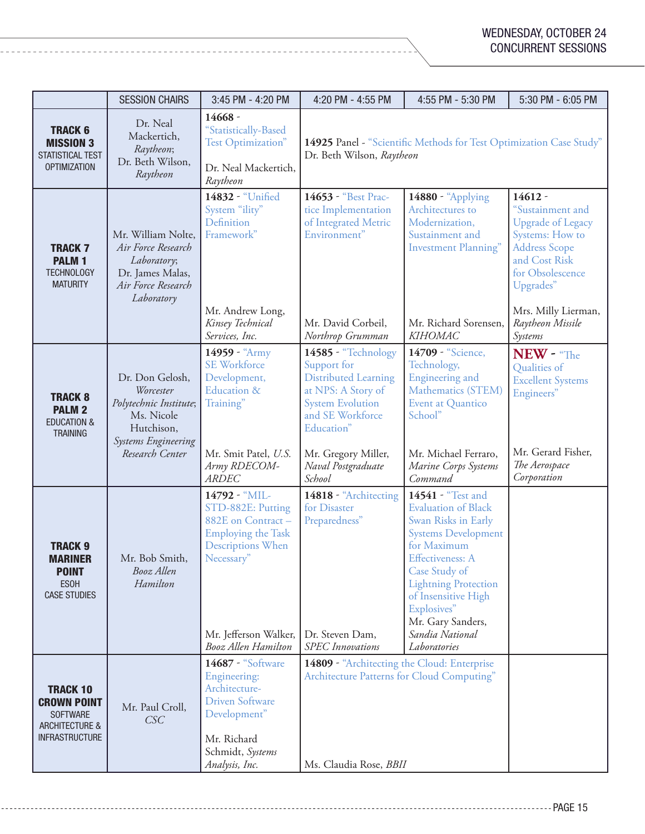|                                                                                                                | <b>SESSION CHAIRS</b>                                                                                                               | 3:45 PM - 4:20 PM                                                                                                                                                                     | 4:20 PM - 4:55 PM                                                                                                                                                                                           | 4:55 PM - 5:30 PM                                                                                                                                                                                                                                                                            | 5:30 PM - 6:05 PM                                                                                                                                                                                                   |
|----------------------------------------------------------------------------------------------------------------|-------------------------------------------------------------------------------------------------------------------------------------|---------------------------------------------------------------------------------------------------------------------------------------------------------------------------------------|-------------------------------------------------------------------------------------------------------------------------------------------------------------------------------------------------------------|----------------------------------------------------------------------------------------------------------------------------------------------------------------------------------------------------------------------------------------------------------------------------------------------|---------------------------------------------------------------------------------------------------------------------------------------------------------------------------------------------------------------------|
| <b>TRACK 6</b><br><b>MISSION 3</b><br>STATISTICAL TEST<br><b>OPTIMIZATION</b>                                  | Dr. Neal<br>Mackertich,<br>Raytheon;<br>Dr. Beth Wilson,<br>Raytheon                                                                | 14668 -<br>"Statistically-Based<br>Test Optimization"<br>Dr. Neal Mackertich,<br>Raytheon                                                                                             | Dr. Beth Wilson, Raytheon                                                                                                                                                                                   | 14925 Panel - "Scientific Methods for Test Optimization Case Study"                                                                                                                                                                                                                          |                                                                                                                                                                                                                     |
| <b>TRACK 7</b><br><b>PALM1</b><br><b>TECHNOLOGY</b><br><b>MATURITY</b>                                         | Mr. William Nolte,<br>Air Force Research<br>Laboratory;<br>Dr. James Malas,<br>Air Force Research<br>Laboratory                     | 14832 - "Unified<br>System "ility"<br>Definition<br>Framework"<br>Mr. Andrew Long,<br>Kinsey Technical<br>Services, Inc.                                                              | 14653 - "Best Prac-<br>tice Implementation<br>of Integrated Metric<br>Environment"<br>Mr. David Corbeil,<br>Northrop Grumman                                                                                | 14880 - "Applying<br>Architectures to<br>Modernization,<br>Sustainment and<br><b>Investment Planning"</b><br>Mr. Richard Sorensen,<br><b>KIHOMAC</b>                                                                                                                                         | $14612 -$<br>"Sustainment and<br><b>Upgrade of Legacy</b><br><b>Systems:</b> How to<br><b>Address Scope</b><br>and Cost Risk<br>for Obsolescence<br>Upgrades"<br>Mrs. Milly Lierman,<br>Raytheon Missile<br>Systems |
| <b>TRACK 8</b><br><b>PALM 2</b><br><b>EDUCATION &amp;</b><br><b>TRAINING</b>                                   | Dr. Don Gelosh,<br>Worcester<br>Polytechnic Institute;<br>Ms. Nicole<br>Hutchison,<br><b>Systems Engineering</b><br>Research Center | 14959 - "Army<br><b>SE Workforce</b><br>Development,<br>Education &<br>Training"<br>Mr. Smit Patel, U.S.<br>Army RDECOM-<br>ARDEC                                                     | 14585 - "Technology<br>Support for<br><b>Distributed Learning</b><br>at NPS: A Story of<br><b>System Evolution</b><br>and SE Workforce<br>Education"<br>Mr. Gregory Miller,<br>Naval Postgraduate<br>School | 14709 - "Science,<br>Technology,<br>Engineering and<br>Mathematics (STEM)<br>Event at Quantico<br>School"<br>Mr. Michael Ferraro,<br>Marine Corps Systems<br>Command                                                                                                                         | $NEW - $ The<br>Qualities of<br><b>Excellent Systems</b><br>Engineers"<br>Mr. Gerard Fisher,<br>The Aerospace<br>Corporation                                                                                        |
| <b>TRACK 9</b><br><b>MARINER</b><br><b>POINT</b><br><b>ESOH</b><br><b>CASE STUDIES</b>                         | Mr. Bob Smith,<br>Booz Allen<br>Hamilton                                                                                            | 14792 - "MIL-<br>STD-882E: Putting<br>882E on Contract-<br><b>Employing the Task</b><br><b>Descriptions When</b><br>Necessary"<br>Mr. Jefferson Walker,<br><b>Booz Allen Hamilton</b> | 14818 - "Architecting<br>for Disaster<br>Preparedness"<br>Dr. Steven Dam,<br><b>SPEC</b> Innovations                                                                                                        | 14541 - "Test and<br><b>Evaluation of Black</b><br>Swan Risks in Early<br><b>Systems Development</b><br>for Maximum<br><b>Effectiveness: A</b><br>Case Study of<br><b>Lightning Protection</b><br>of Insensitive High<br>Explosives"<br>Mr. Gary Sanders,<br>Sandia National<br>Laboratories |                                                                                                                                                                                                                     |
| <b>TRACK 10</b><br><b>CROWN POINT</b><br><b>SOFTWARE</b><br><b>ARCHITECTURE &amp;</b><br><b>INFRASTRUCTURE</b> | Mr. Paul Croll,<br>CSC                                                                                                              | 14687 - "Software<br><b>Engineering:</b><br>Architecture-<br><b>Driven Software</b><br>Development"<br>Mr. Richard<br>Schmidt, Systems<br>Analysis, Inc.                              | 14809 - "Architecting the Cloud: Enterprise<br>Architecture Patterns for Cloud Computing"<br>Ms. Claudia Rose, BBII                                                                                         |                                                                                                                                                                                                                                                                                              |                                                                                                                                                                                                                     |

-----------------

\_\_\_\_\_\_\_\_\_\_\_\_\_\_\_\_\_\_\_\_\_\_\_\_\_\_\_\_\_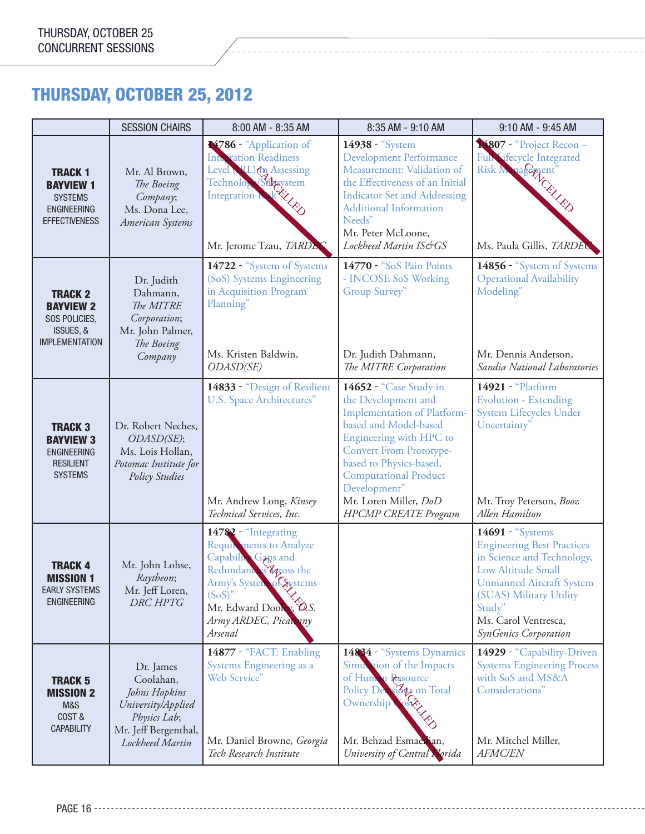## THURSDAY, OCTOBER 25, 2012

|                                                                                                    | <b>SESSION CHAIRS</b>                                                                                                    | 8:00 AM - 8:35 AM                                                                                                                                                                                             | 8:35 AM - 9:10 AM                                                                                                                                                                                                                                                                                     | 9:10 AM - 9:45 AM                                                                                                                                                                                                                         |
|----------------------------------------------------------------------------------------------------|--------------------------------------------------------------------------------------------------------------------------|---------------------------------------------------------------------------------------------------------------------------------------------------------------------------------------------------------------|-------------------------------------------------------------------------------------------------------------------------------------------------------------------------------------------------------------------------------------------------------------------------------------------------------|-------------------------------------------------------------------------------------------------------------------------------------------------------------------------------------------------------------------------------------------|
| <b>TRACK 1</b><br><b>BAYVIEW 1</b><br><b>SYSTEMS</b><br><b>ENGINEERING</b><br><b>EFFECTIVENESS</b> | Mr. Al Brown,<br>The Boeing<br>Company;<br>Ms. Dona Lee,<br>American Systems                                             | 14786 - "Application of<br><b>Integration Readiness</b><br>Level (RL) (M Assessing<br>Technology Subsystem<br>Mr. Jerome Tzau, TARDEC                                                                         | 14938 - "System<br><b>Development Performance</b><br>Measurement: Validation of<br>the Effectiveness of an Initial<br><b>Indicator Set and Addressing</b><br><b>Additional Information</b><br>Needs"<br>Mr. Peter McLoone,<br>Lockheed Martin IS&GS                                                   | Fun ifecycle Integrant<br>Ms. Paula Gillis, TARDEC                                                                                                                                                                                        |
| <b>TRACK 2</b><br><b>BAYVIEW 2</b><br>SOS POLICIES,<br>ISSUES, &<br><b>IMPLEMENTATION</b>          | Dr. Judith<br>Dahmann,<br>The MITRE<br>Corporation;<br>Mr. John Palmer,<br>The Boeing<br>Company                         | 14722 - "System of Systems<br>(SoS) Systems Engineering<br>in Acquisition Program<br>Planning"<br>Ms. Kristen Baldwin,<br>ODASD(SE)                                                                           | 14770 - "SoS Pain Points<br>- INCOSE SoS Working<br>Group Survey"<br>Dr. Judith Dahmann,<br>The MITRE Corporation                                                                                                                                                                                     | 14856 - "System of Systems<br><b>Operational Availability</b><br>Modeling"<br>Mr. Dennis Anderson,<br>Sandia National Laboratories                                                                                                        |
| <b>TRACK 3</b><br><b>BAYVIEW 3</b><br><b>ENGINEERING</b><br><b>RESILIENT</b><br><b>SYSTEMS</b>     | Dr. Robert Neches,<br>ODASD(SE);<br>Ms. Lois Hollan,<br>Potomac Institute for<br><b>Policy Studies</b>                   | 14833 - "Design of Resilient<br>U.S. Space Architectures"<br>Mr. Andrew Long, Kinsey<br>Technical Services, Inc.                                                                                              | 14652 - "Case Study in<br>the Development and<br>Implementation of Platform-<br>based and Model-based<br>Engineering with HPC to<br><b>Convert From Prototype-</b><br>based to Physics-based,<br><b>Computational Product</b><br>Development"<br>Mr. Loren Miller, DoD<br><b>HPCMP CREATE Program</b> | 14921 - "Platform<br><b>Evolution - Extending</b><br>System Lifecycles Under<br>Uncertainty"<br>Mr. Troy Peterson, Booz<br>Allen Hamilton                                                                                                 |
| <b>TRACK 4</b><br><b>MISSION 1</b><br><b>EARLY SYSTEMS</b><br><b>ENGINEERING</b>                   | Mr. John Lohse,<br>Raytheon;<br>Mr. Jeff Loren,<br>DRC HPTG                                                              | 14782 - "Integrating<br><b>Requirements to Analyze</b><br>Capability Gaps and<br>Redundances 4poss the<br>Army's System of Systems<br>$(SoS)^"$<br>Mr. Edward Dooley, O.S.<br>Army ARDEC, Picamany<br>Arsenal |                                                                                                                                                                                                                                                                                                       | 14691 - "Systems<br><b>Engineering Best Practices</b><br>in Science and Technology,<br>Low Altitude Small<br><b>Unmanned Aircraft System</b><br>(SUAS) Military Utility<br>Study"<br>Ms. Carol Ventresca,<br><b>SynGenics Corporation</b> |
| <b>TRACK 5</b><br><b>MISSION 2</b><br>M&S<br>COST&<br><b>CAPABILITY</b>                            | Dr. James<br>Coolahan,<br>Johns Hopkins<br>University/Applied<br>Physics Lab;<br>Mr. Jeff Bergenthal,<br>Lockheed Martin | 14877 - "FACT: Enabling<br>Systems Engineering as a<br>Web Service"<br>Mr. Daniel Browne, Georgia<br>Tech Research Institute                                                                                  | 14834 - "Systems Dynamics<br>Simulation of the Impacts<br>of Human Resource<br>Policy Decisions on Total<br>Ownership<br>Mr. Behzad Esmaerian,<br>University of Central Horida                                                                                                                        | 14929 - "Capability-Driven<br><b>Systems Engineering Process</b><br>with SoS and MS&A<br>Considerations"<br>Mr. Mitchel Miller,<br><b>AFMC/EN</b>                                                                                         |

PAGE 16 ------------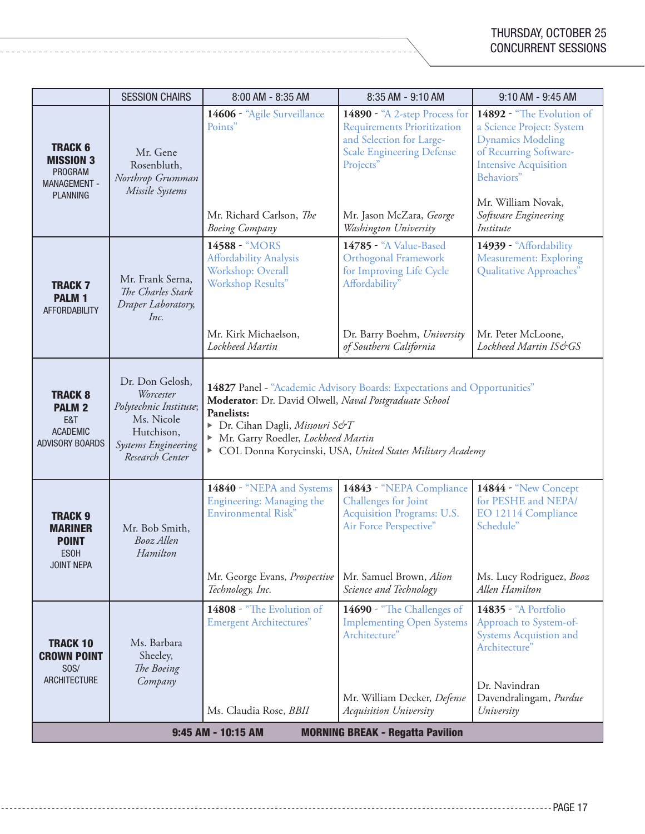|                                                                                         | <b>SESSION CHAIRS</b>                                                                                                        | 8:00 AM - 8:35 AM                                                                                                                                                                                                                                                                      | 8:35 AM - 9:10 AM                                                                                                                                                                                     | 9:10 AM - 9:45 AM                                                                                                                                                                                                     |
|-----------------------------------------------------------------------------------------|------------------------------------------------------------------------------------------------------------------------------|----------------------------------------------------------------------------------------------------------------------------------------------------------------------------------------------------------------------------------------------------------------------------------------|-------------------------------------------------------------------------------------------------------------------------------------------------------------------------------------------------------|-----------------------------------------------------------------------------------------------------------------------------------------------------------------------------------------------------------------------|
| <b>TRACK 6</b><br><b>MISSION 3</b><br><b>PROGRAM</b><br>MANAGEMENT -<br><b>PLANNING</b> | Mr. Gene<br>Rosenbluth,<br>Northrop Grumman<br>Missile Systems                                                               | 14606 - "Agile Surveillance<br>Points"<br>Mr. Richard Carlson, The<br><b>Boeing Company</b>                                                                                                                                                                                            | 14890 - "A 2-step Process for<br><b>Requirements Prioritization</b><br>and Selection for Large-<br><b>Scale Engineering Defense</b><br>Projects"<br>Mr. Jason McZara, George<br>Washington University | 14892 - "The Evolution of<br>a Science Project: System<br><b>Dynamics Modeling</b><br>of Recurring Software-<br><b>Intensive Acquisition</b><br>Behaviors"<br>Mr. William Novak,<br>Software Engineering<br>Institute |
| <b>TRACK 7</b><br><b>PALM1</b><br><b>AFFORDABILITY</b>                                  | Mr. Frank Serna,<br>The Charles Stark<br>Draper Laboratory,<br>Inc.                                                          | 14588 - "MORS<br><b>Affordability Analysis</b><br>Workshop: Overall<br>Workshop Results"<br>Mr. Kirk Michaelson,<br>Lockheed Martin                                                                                                                                                    | 14785 - "A Value-Based<br><b>Orthogonal Framework</b><br>for Improving Life Cycle<br>Affordability"<br>Dr. Barry Boehm, University<br>of Southern California                                          | 14939 - "Affordability<br><b>Measurement: Exploring</b><br>Qualitative Approaches"<br>Mr. Peter McLoone,<br>Lockheed Martin IS&GS                                                                                     |
| <b>TRACK 8</b><br><b>PALM 2</b><br>E&T<br><b>ACADEMIC</b><br><b>ADVISORY BOARDS</b>     | Dr. Don Gelosh,<br>Worcester<br>Polytechnic Institute;<br>Ms. Nicole<br>Hutchison,<br>Systems Engineering<br>Research Center | 14827 Panel - "Academic Advisory Boards: Expectations and Opportunities"<br>Moderator: Dr. David Olwell, Naval Postgraduate School<br>Panelists:<br>▶ Dr. Cihan Dagli, Missouri S&T<br>Mr. Garry Roedler, Lockheed Martin<br>COL Donna Korycinski, USA, United States Military Academy |                                                                                                                                                                                                       |                                                                                                                                                                                                                       |
| <b>TRACK 9</b><br><b>MARINER</b><br><b>POINT</b><br><b>ESOH</b><br><b>JOINT NEPA</b>    | Mr. Bob Smith,<br>Booz Allen<br>Hamilton                                                                                     | 14840 - "NEPA and Systems<br>Engineering: Managing the<br>Environmental Risk"<br>Mr. George Evans, Prospective<br>Technology, Inc.                                                                                                                                                     | 14843 - "NEPA Compliance<br>Challenges for Joint<br>Acquisition Programs: U.S.<br>Air Force Perspective"<br>Mr. Samuel Brown, Alion<br>Science and Technology                                         | 14844 - "New Concept<br>for PESHE and NEPA/<br>EO 12114 Compliance<br>Schedule"<br>Ms. Lucy Rodriguez, Booz<br>Allen Hamilton                                                                                         |
| <b>TRACK 10</b><br><b>CROWN POINT</b><br>SOS/<br><b>ARCHITECTURE</b>                    | Ms. Barbara<br>Sheeley,<br>The Boeing<br>Company                                                                             | 14808 - "The Evolution of<br><b>Emergent Architectures"</b><br>Ms. Claudia Rose, <i>BBII</i>                                                                                                                                                                                           | 14690 - "The Challenges of<br><b>Implementing Open Systems</b><br>Architecture"<br>Mr. William Decker, Defense<br>Acquisition University                                                              | <b>14835 - "A Portfolio</b><br>Approach to System-of-<br><b>Systems Acquistion and</b><br>Architecture"<br>Dr. Navindran<br>Davendralingam, Purdue<br>University                                                      |
| 9:45 AM - 10:15 AM<br><b>MORNING BREAK - Regatta Pavilion</b>                           |                                                                                                                              |                                                                                                                                                                                                                                                                                        |                                                                                                                                                                                                       |                                                                                                                                                                                                                       |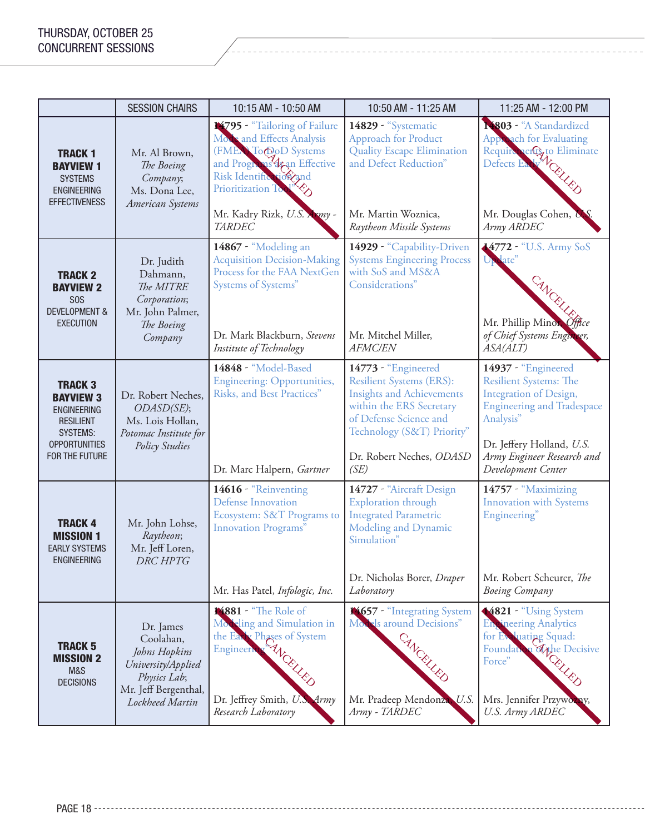|                                                                                                                                           | <b>SESSION CHAIRS</b>                                                                                                    | 10:15 AM - 10:50 AM                                                                                                                                                                                                | 10:50 AM - 11:25 AM                                                                                                                                                                                                | 11:25 AM - 12:00 PM                                                                                                                                                                                               |
|-------------------------------------------------------------------------------------------------------------------------------------------|--------------------------------------------------------------------------------------------------------------------------|--------------------------------------------------------------------------------------------------------------------------------------------------------------------------------------------------------------------|--------------------------------------------------------------------------------------------------------------------------------------------------------------------------------------------------------------------|-------------------------------------------------------------------------------------------------------------------------------------------------------------------------------------------------------------------|
| <b>TRACK 1</b><br><b>BAYVIEW 1</b><br><b>SYSTEMS</b><br><b>ENGINEERING</b><br><b>EFFECTIVENESS</b>                                        | Mr. Al Brown,<br>The Boeing<br>Company;<br>Ms. Dona Lee,<br>American Systems                                             | 14795 - "Tailoring of Failure<br>Mode and Effects Analysis<br>(FMEA) To DoD Systems<br>and Programs 42an Effective<br>Risk Identification and<br>Prioritization To<br>Mr. Kadry Rizk, U.S. Army -<br><b>TARDEC</b> | 14829 - "Systematic<br><b>Approach for Product</b><br><b>Quality Escape Elimination</b><br>and Defect Reduction"<br>Mr. Martin Woznica,<br>Raytheon Missile Systems                                                | 14803 - "A Standardized<br>Apple ach for Evaluating<br>Require engage Eliminate<br>Mr. Douglas Cohen,<br>Army ARDEC                                                                                               |
| <b>TRACK 2</b><br><b>BAYVIEW 2</b><br>S <sub>0</sub> S<br><b>DEVELOPMENT &amp;</b><br><b>EXECUTION</b>                                    | Dr. Judith<br>Dahmann,<br>The MITRE<br>Corporation;<br>Mr. John Palmer,<br>The Boeing<br>Company                         | 14867 - "Modeling an<br><b>Acquisition Decision-Making</b><br>Process for the FAA NextGen<br>Systems of Systems"<br>Dr. Mark Blackburn, Stevens<br>Institute of Technology                                         | 14929 - "Capability-Driven<br><b>Systems Engineering Process</b><br>with SoS and MS&A<br>Considerations"<br>Mr. Mitchel Miller,<br><b>AFMC/EN</b>                                                                  | 4772 - "U.S. Army SoS<br><b>Update</b><br>CANCEL<br>Mr. Phillip Minor Office<br>of Chief Systems Engineer,<br>ASA(ALT)                                                                                            |
| <b>TRACK 3</b><br><b>BAYVIEW 3</b><br><b>ENGINEERING</b><br><b>RESILIENT</b><br><b>SYSTEMS:</b><br><b>OPPORTUNITIES</b><br>FOR THE FUTURE | Dr. Robert Neches,<br>ODASD(SE);<br>Ms. Lois Hollan,<br>Potomac Institute for<br>Policy Studies                          | 14848 - "Model-Based<br><b>Engineering: Opportunities,</b><br>Risks, and Best Practices"<br>Dr. Marc Halpern, Gartner                                                                                              | 14773 - "Engineered<br><b>Resilient Systems (ERS):</b><br><b>Insights and Achievements</b><br>within the ERS Secretary<br>of Defense Science and<br>Technology (S&T) Priority"<br>Dr. Robert Neches, ODASD<br>(SE) | 14937 - "Engineered<br><b>Resilient Systems: The</b><br>Integration of Design,<br><b>Engineering and Tradespace</b><br>Analysis"<br>Dr. Jeffery Holland, U.S.<br>Army Engineer Research and<br>Development Center |
| <b>TRACK 4</b><br><b>MISSION 1</b><br><b>EARLY SYSTEMS</b><br><b>ENGINEERING</b>                                                          | Mr. John Lohse,<br>Raytheon;<br>Mr. Jeff Loren,<br><b>DRC HPTG</b>                                                       | 14616 - "Reinventing<br><b>Defense Innovation</b><br>Ecosystem: S&T Programs to<br><b>Innovation Programs</b> "<br>Mr. Has Patel, Infologic, Inc.                                                                  | 14727 - "Aircraft Design<br>Exploration through<br><b>Integrated Parametric</b><br>Modeling and Dynamic<br>Simulation"<br>Dr. Nicholas Borer, Draper<br>Laboratory                                                 | 14757 - "Maximizing<br><b>Innovation</b> with Systems<br>Engineering"<br>Mr. Robert Scheurer, The<br><b>Boeing Company</b>                                                                                        |
| <b>TRACK 5</b><br><b>MISSION 2</b><br>M&S<br><b>DECISIONS</b>                                                                             | Dr. James<br>Coolahan,<br>Johns Hopkins<br>University/Applied<br>Physics Lab;<br>Mr. Jeff Bergenthal,<br>Lockheed Martin | 14881 - "The Role of<br>Modeling and Simulation in<br>the Earth Phases of System<br>Dr. Jeffrey Smith, U.S. Army<br>Research Laboratory                                                                            | 14657 - "Integrating System<br>Movels around Decisions"<br>CANCRUZED<br>Mr. Pradeep Mendonza, U.S.<br>Army - TARDEC                                                                                                | 4821 - "Using System<br><b>Engineering Analytics</b><br>for Evaluating Squad:<br>Foundation of the Decisive Force"<br>Mrs. Jennifer Przywozny,<br>U.S. Army ARDEC                                                 |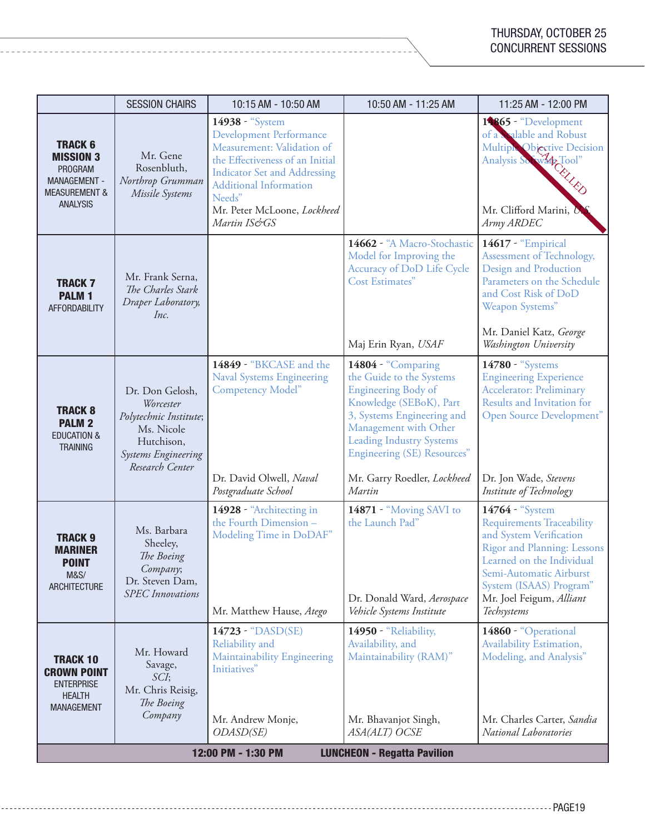|                                                                                                                     | <b>SESSION CHAIRS</b>                                                                                                        | 10:15 AM - 10:50 AM                                                                                                                                                                                                                                 | 10:50 AM - 11:25 AM                                                                                                                                                                                                                                                        | 11:25 AM - 12:00 PM                                                                                                                                                                                                                         |
|---------------------------------------------------------------------------------------------------------------------|------------------------------------------------------------------------------------------------------------------------------|-----------------------------------------------------------------------------------------------------------------------------------------------------------------------------------------------------------------------------------------------------|----------------------------------------------------------------------------------------------------------------------------------------------------------------------------------------------------------------------------------------------------------------------------|---------------------------------------------------------------------------------------------------------------------------------------------------------------------------------------------------------------------------------------------|
| <b>TRACK 6</b><br><b>MISSION 3</b><br>PROGRAM<br><b>MANAGEMENT -</b><br><b>MEASUREMENT &amp;</b><br><b>ANALYSIS</b> | Mr. Gene<br>Rosenbluth,<br>Northrop Grumman<br>Missile Systems                                                               | 14938 - "System<br><b>Development Performance</b><br>Measurement: Validation of<br>the Effectiveness of an Initial<br><b>Indicator Set and Addressing</b><br><b>Additional Information</b><br>Needs"<br>Mr. Peter McLoone, Lockheed<br>Martin IS&GS |                                                                                                                                                                                                                                                                            | 14865 - "Development<br>of a Soalable and Robust<br>Multiple Objective Decision<br>Analysis Society Tool"<br>Mr. Clifford Marini, D<br>Army ARDEC                                                                                           |
| <b>TRACK 7</b><br><b>PALM1</b><br><b>AFFORDABILITY</b>                                                              | Mr. Frank Serna,<br>The Charles Stark<br>Draper Laboratory,<br>Inc.                                                          |                                                                                                                                                                                                                                                     | 14662 - "A Macro-Stochastic<br>Model for Improving the<br>Accuracy of DoD Life Cycle<br>Cost Estimates"<br>Maj Erin Ryan, USAF                                                                                                                                             | <b>14617 - "Empirical</b><br>Assessment of Technology,<br>Design and Production<br>Parameters on the Schedule<br>and Cost Risk of DoD<br>Weapon Systems"<br>Mr. Daniel Katz, George<br>Washington University                                |
| <b>TRACK 8</b><br><b>PALM 2</b><br><b>EDUCATION &amp;</b><br><b>TRAINING</b>                                        | Dr. Don Gelosh,<br>Worcester<br>Polytechnic Institute;<br>Ms. Nicole<br>Hutchison,<br>Systems Engineering<br>Research Center | 14849 - "BKCASE and the<br><b>Naval Systems Engineering</b><br>Competency Model"<br>Dr. David Olwell, Naval<br>Postgraduate School                                                                                                                  | 14804 - "Comparing<br>the Guide to the Systems<br>Engineering Body of<br>Knowledge (SEBoK), Part<br>3, Systems Engineering and<br>Management with Other<br><b>Leading Industry Systems</b><br><b>Engineering (SE) Resources</b> "<br>Mr. Garry Roedler, Lockheed<br>Martin | 14780 - "Systems<br><b>Engineering Experience</b><br><b>Accelerator: Preliminary</b><br>Results and Invitation for<br>Open Source Development"<br>Dr. Jon Wade, Stevens<br>Institute of Technology                                          |
| <b>TRACK 9</b><br><b>MARINER</b><br><b>POINT</b><br><b>M&amp;S/</b><br>ARCHITECTURE                                 | Ms. Barbara<br>Sheeley,<br>The Boeing<br>Company;<br>Dr. Steven Dam,<br><b>SPEC</b> Innovations                              | 14928 - "Architecting in<br>the Fourth Dimension-<br>Modeling Time in DoDAF"<br>Mr. Matthew Hause, Atego                                                                                                                                            | 14871 - "Moving SAVI to<br>the Launch Pad"<br>Dr. Donald Ward, Aerospace<br>Vehicle Systems Institute                                                                                                                                                                      | 14764 - "System<br><b>Requirements Traceability</b><br>and System Verification<br>Rigor and Planning: Lessons<br>Learned on the Individual<br>Semi-Automatic Airburst<br>System (ISAAS) Program"<br>Mr. Joel Feigum, Alliant<br>Techsystems |
| <b>TRACK 10</b><br><b>CROWN POINT</b><br><b>ENTERPRISE</b><br><b>HEALTH</b><br><b>MANAGEMENT</b>                    | Mr. Howard<br>Savage,<br>SCI;<br>Mr. Chris Reisig,<br>The Boeing<br>Company                                                  | 14723 - "DASD(SE)<br>Reliability and<br>Maintainability Engineering<br>Initiatives"<br>Mr. Andrew Monje,<br>ODASD(SE)                                                                                                                               | 14950 - "Reliability,<br>Availability, and<br>Maintainability (RAM)"<br>Mr. Bhavanjot Singh,<br>ASA(ALT) OCSE                                                                                                                                                              | 14860 - "Operational<br>Availability Estimation,<br>Modeling, and Analysis"<br>Mr. Charles Carter, Sandia<br>National Laboratories                                                                                                          |
| 12:00 PM - 1:30 PM<br><b>LUNCHEON - Regatta Pavilion</b>                                                            |                                                                                                                              |                                                                                                                                                                                                                                                     |                                                                                                                                                                                                                                                                            |                                                                                                                                                                                                                                             |

<u>. . . . . . . . . . . .</u>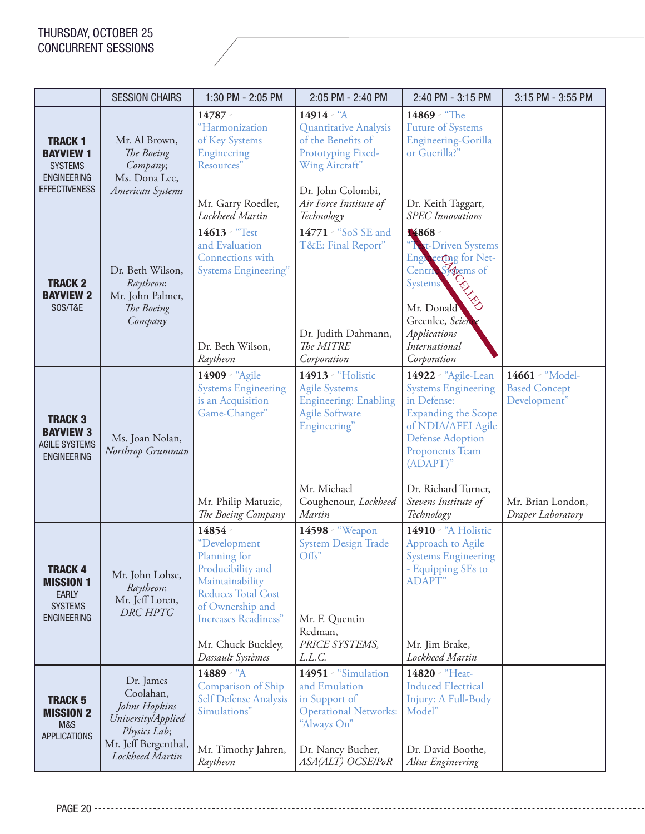|                                                                                                   | <b>SESSION CHAIRS</b>                                                                                                    | 1:30 PM - 2:05 PM                                                                                                                                                                                          | 2:05 PM - 2:40 PM                                                                                                                                                   | 2:40 PM - 3:15 PM                                                                                                                                                                                                                              | 3:15 PM - 3:55 PM                                                                                 |
|---------------------------------------------------------------------------------------------------|--------------------------------------------------------------------------------------------------------------------------|------------------------------------------------------------------------------------------------------------------------------------------------------------------------------------------------------------|---------------------------------------------------------------------------------------------------------------------------------------------------------------------|------------------------------------------------------------------------------------------------------------------------------------------------------------------------------------------------------------------------------------------------|---------------------------------------------------------------------------------------------------|
| <b>TRACK1</b><br><b>BAYVIEW 1</b><br><b>SYSTEMS</b><br><b>ENGINEERING</b><br><b>EFFECTIVENESS</b> | Mr. Al Brown,<br>The Boeing<br>Company;<br>Ms. Dona Lee,<br>American Systems                                             | $14787 -$<br>"Harmonization<br>of Key Systems<br>Engineering<br>Resources"<br>Mr. Garry Roedler,<br>Lockheed Martin                                                                                        | 14914 - "A<br>Quantitative Analysis<br>of the Benefits of<br>Prototyping Fixed-<br>Wing Aircraft"<br>Dr. John Colombi,<br>Air Force Institute of<br>Technology      | 14869 - "The<br><b>Future of Systems</b><br>Engineering-Gorilla<br>or Guerilla?"<br>Dr. Keith Taggart,<br><b>SPEC</b> Innovations                                                                                                              |                                                                                                   |
| <b>TRACK 2</b><br><b>BAYVIEW 2</b><br>SOS/T&E                                                     | Dr. Beth Wilson,<br>Raytheon;<br>Mr. John Palmer,<br>The Boeing<br>Company                                               | 14613 - "Test<br>and Evaluation<br>Connections with<br>Systems Engineering"<br>Dr. Beth Wilson,<br>Raytheon                                                                                                | 14771 - "SoS SE and<br>T&E: Final Report"<br>Dr. Judith Dahmann,<br>The MITRE<br>Corporation                                                                        | 14868 -<br><sup>"</sup> Text-Driven Systems<br>Englisecing for Net-<br>Centre Sytems of<br><b>Systems</b><br>Mr. Donald<br>Greenlee, Scienc<br>Applications<br>International<br>Corporation                                                    |                                                                                                   |
| <b>TRACK 3</b><br><b>BAYVIEW 3</b><br><b>AGILE SYSTEMS</b><br><b>ENGINEERING</b>                  | Ms. Joan Nolan,<br>Northrop Grumman                                                                                      | 14909 - "Agile<br><b>Systems Engineering</b><br>is an Acquisition<br>Game-Changer"<br>Mr. Philip Matuzic,<br>The Boeing Company                                                                            | 14913 - "Holistic<br><b>Agile Systems</b><br><b>Engineering: Enabling</b><br><b>Agile Software</b><br>Engineering"<br>Mr. Michael<br>Coughenour, Lockheed<br>Martin | 14922 - "Agile-Lean<br><b>Systems Engineering</b><br>in Defense:<br><b>Expanding the Scope</b><br>of NDIA/AFEI Agile<br><b>Defense Adoption</b><br>Proponents Team<br>$(ADAPT)$ "<br>Dr. Richard Turner,<br>Stevens Institute of<br>Technology | 14661 - "Model-<br><b>Based Concept</b><br>Development"<br>Mr. Brian London,<br>Draper Laboratory |
| <b>TRACK 4</b><br><b>MISSION 1</b><br><b>EARLY</b><br><b>SYSTEMS</b><br><b>ENGINEERING</b>        | Mr. John Lohse,<br>Raytheon;<br>Mr. Jeff Loren,<br><b>DRC HPTG</b>                                                       | 14854 -<br>"Development<br>Planning for<br>Producibility and<br>Maintainability<br><b>Reduces Total Cost</b><br>of Ownership and<br><b>Increases Readiness"</b><br>Mr. Chuck Buckley,<br>Dassault Systèmes | 14598 - "Weapon<br><b>System Design Trade</b><br>Offs"<br>Mr. F. Quentin<br>Redman,<br>PRICE SYSTEMS,<br>L.L.C.                                                     | 14910 - "A Holistic<br>Approach to Agile<br><b>Systems Engineering</b><br>- Equipping SEs to<br><b>ADAPT</b> "<br>Mr. Jim Brake,<br>Lockheed Martin                                                                                            |                                                                                                   |
| <b>TRACK 5</b><br><b>MISSION 2</b><br>M&S<br><b>APPLICATIONS</b>                                  | Dr. James<br>Coolahan,<br>Johns Hopkins<br>University/Applied<br>Physics Lab;<br>Mr. Jeff Bergenthal,<br>Lockheed Martin | 14889 - "A<br>Comparison of Ship<br>Self Defense Analysis<br>Simulations"<br>Mr. Timothy Jahren,<br>Raytheon                                                                                               | 14951 - "Simulation<br>and Emulation<br>in Support of<br><b>Operational Networks:</b><br>"Always On"<br>Dr. Nancy Bucher,<br>ASA(ALT) OCSE/PoR                      | 14820 - "Heat-<br><b>Induced Electrical</b><br>Injury: A Full-Body<br>Model"<br>Dr. David Boothe,<br>Altus Engineering                                                                                                                         |                                                                                                   |

PAGE 20 -----------------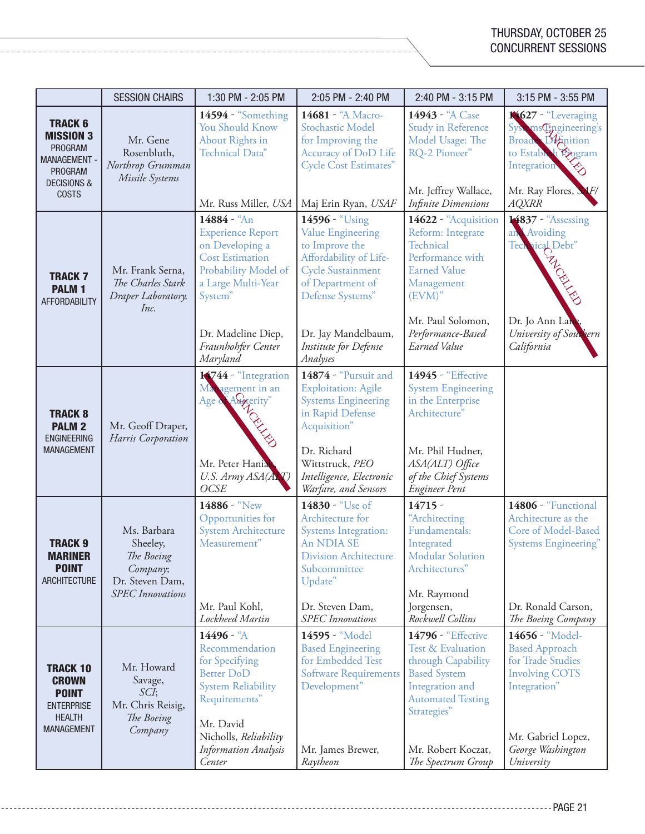|                                                                                                                                  | <b>SESSION CHAIRS</b>                                                                           | 1:30 PM - 2:05 PM                                                                                                                                                                                     | 2:05 PM - 2:40 PM                                                                                                                                                                                                      | 2:40 PM - 3:15 PM                                                                                                                                                                                     | 3:15 PM - 3:55 PM                                                                                                                                                  |
|----------------------------------------------------------------------------------------------------------------------------------|-------------------------------------------------------------------------------------------------|-------------------------------------------------------------------------------------------------------------------------------------------------------------------------------------------------------|------------------------------------------------------------------------------------------------------------------------------------------------------------------------------------------------------------------------|-------------------------------------------------------------------------------------------------------------------------------------------------------------------------------------------------------|--------------------------------------------------------------------------------------------------------------------------------------------------------------------|
| <b>TRACK 6</b><br><b>MISSION 3</b><br><b>PROGRAM</b><br><b>MANAGEMENT -</b><br>PROGRAM<br><b>DECISIONS &amp;</b><br><b>COSTS</b> | Mr. Gene<br>Rosenbluth,<br>Northrop Grumman<br>Missile Systems                                  | 14594 - "Something<br><b>You Should Know</b><br>About Rights in<br>Technical Data"<br>Mr. Russ Miller, USA                                                                                            | 14681 - "A Macro-<br>Stochastic Model<br>for Improving the<br>Accuracy of DoD Life<br><b>Cycle Cost Estimates"</b><br>Maj Erin Ryan, USAF                                                                              | 14943 - "A Case<br><b>Study in Reference</b><br>Model Usage: The<br>RQ-2 Pioneer"<br>Mr. Jeffrey Wallace,<br><b>Infinite Dimensions</b>                                                               | 14627 - "Leveraging<br>Systems@ngineering's<br>Broader Definition<br>to Estableh Logram<br>Integration<br>Mr. Ray Flores, S<br>$\blacktriangle$ F/<br><b>AQXRR</b> |
| <b>TRACK7</b><br><b>PALM1</b><br><b>AFFORDABILITY</b>                                                                            | Mr. Frank Serna,<br>The Charles Stark<br>Draper Laboratory,<br>Inc.                             | 14884 - "An<br><b>Experience Report</b><br>on Developing a<br><b>Cost Estimation</b><br>Probability Model of<br>a Large Multi-Year<br>System"<br>Dr. Madeline Diep,<br>Fraunhohfer Center<br>Maryland | 14596 - "Using<br><b>Value Engineering</b><br>to Improve the<br>Affordability of Life-<br><b>Cycle Sustainment</b><br>of Department of<br>Defense Systems"<br>Dr. Jay Mandelbaum,<br>Institute for Defense<br>Analyses | 14622 - "Acquisition<br>Reform: Integrate<br>Technical<br>Performance with<br><b>Earned Value</b><br>Management<br>$(EVM)$ "<br>Mr. Paul Solomon,<br>Performance-Based<br>Earned Value                | 14837 - "Assessing<br>an Avoiding<br>Technical Debt"<br>ANGELIES<br>Dr. Jo Ann Lane<br>University of Southern<br>California                                        |
| <b>TRACK 8</b><br><b>PALM 2</b><br><b>ENGINEERING</b><br><b>MANAGEMENT</b>                                                       | Mr. Geoff Draper,<br>Harris Corporation                                                         | 14744 - "Integration<br>Management in an<br>Augerity"<br>Age &<br>CRYSSIS<br>Mr. Peter Hania<br>U.S. Army ASA(AXT)<br><b>OCSE</b>                                                                     | 14874 - "Pursuit and<br><b>Exploitation: Agile</b><br><b>Systems Engineering</b><br>in Rapid Defense<br>Acquisition"<br>Dr. Richard<br>Wittstruck, PEO<br>Intelligence, Electronic<br>Warfare, and Sensors             | <b>14945 - "Effective</b><br><b>System Engineering</b><br>in the Enterprise<br>Architecture"<br>Mr. Phil Hudner,<br>ASA(ALT) Office<br>of the Chief Systems<br><b>Engineer Pent</b>                   |                                                                                                                                                                    |
| <b>TRACK 9</b><br><b>MARINER</b><br><b>POINT</b><br><b>ARCHITECTURE</b>                                                          | Ms. Barbara<br>Sheeley,<br>The Boeing<br>Company;<br>Dr. Steven Dam,<br><b>SPEC</b> Innovations | 14886 - "New<br>Opportunities for<br><b>System Architecture</b><br>Measurement"<br>Mr. Paul Kohl,<br>Lockheed Martin                                                                                  | 14830 - "Use of<br>Architecture for<br><b>Systems Integration:</b><br>An NDIA SE<br><b>Division Architecture</b><br>Subcommittee<br>Update"<br>Dr. Steven Dam,<br><b>SPEC</b> Innovations                              | $14715 -$<br>"Architecting<br>Fundamentals:<br>Integrated<br><b>Modular Solution</b><br>Architectures"<br>Mr. Raymond<br>Jorgensen,<br>Rockwell Collins                                               | 14806 - "Functional<br>Architecture as the<br>Core of Model-Based<br><b>Systems Engineering"</b><br>Dr. Ronald Carson,<br>The Boeing Company                       |
| <b>TRACK 10</b><br><b>CROWN</b><br><b>POINT</b><br><b>ENTERPRISE</b><br><b>HEALTH</b><br><b>MANAGEMENT</b>                       | Mr. Howard<br>Savage,<br>SCI;<br>Mr. Chris Reisig,<br>The Boeing<br>Company                     | 14496 - "A<br>Recommendation<br>for Specifying<br><b>Better DoD</b><br><b>System Reliability</b><br>Requirements"<br>Mr. David<br>Nicholls, Reliability<br><b>Information Analysis</b><br>Center      | 14595 - "Model<br><b>Based Engineering</b><br>for Embedded Test<br><b>Software Requirements</b><br>Development"<br>Mr. James Brewer,<br>Raytheon                                                                       | <b>14796 - "Effective</b><br>Test & Evaluation<br>through Capability<br><b>Based System</b><br>Integration and<br><b>Automated Testing</b><br>Strategies"<br>Mr. Robert Koczat,<br>The Spectrum Group | 14656 - "Model-<br><b>Based Approach</b><br>for Trade Studies<br><b>Involving COTS</b><br>Integration"<br>Mr. Gabriel Lopez,<br>George Washington<br>University    |

--------------------------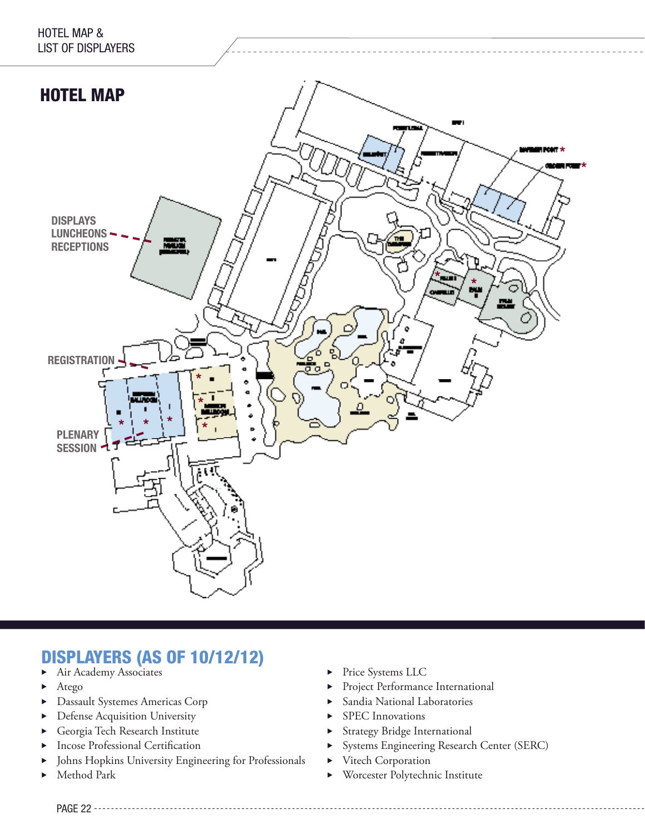

## DISPLAYERS (AS OF 10/12/12)

- Air Academy Associates
- $\blacktriangleright$  Atego
- Dassault Systemes Americas Corp
- Defense Acquisition University
- Georgia Tech Research Institute
- Incose Professional Certification
- Johns Hopkins University Engineering for Professionals
- Method Park
- Price Systems LLC
- **Project Performance International**
- Sandia National Laboratories
- SPEC Innovations
- Strategy Bridge International
- **Exercise Engineering Research Center (SERC)**
- vitech Corporation
- **EX** Worcester Polytechnic Institute

PAGE 22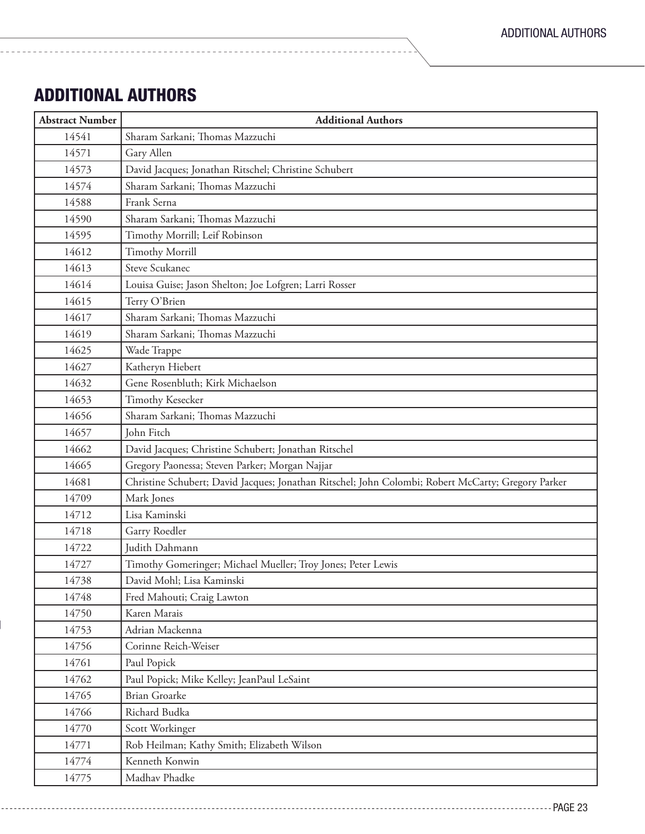## ADDITIONAL AUTHORS

-----------------------

| <b>Abstract Number</b> | <b>Additional Authors</b>                                                                          |  |  |
|------------------------|----------------------------------------------------------------------------------------------------|--|--|
| 14541                  | Sharam Sarkani; Thomas Mazzuchi                                                                    |  |  |
| 14571                  | Gary Allen                                                                                         |  |  |
| 14573                  | David Jacques; Jonathan Ritschel; Christine Schubert                                               |  |  |
| 14574                  | Sharam Sarkani; Thomas Mazzuchi                                                                    |  |  |
| 14588                  | Frank Serna                                                                                        |  |  |
| 14590                  | Sharam Sarkani; Thomas Mazzuchi                                                                    |  |  |
| 14595                  | Timothy Morrill; Leif Robinson                                                                     |  |  |
| 14612                  | <b>Timothy Morrill</b>                                                                             |  |  |
| 14613                  | <b>Steve Scukanec</b>                                                                              |  |  |
| 14614                  | Louisa Guise; Jason Shelton; Joe Lofgren; Larri Rosser                                             |  |  |
| 14615                  | Terry O'Brien                                                                                      |  |  |
| 14617                  | Sharam Sarkani; Thomas Mazzuchi                                                                    |  |  |
| 14619                  | Sharam Sarkani; Thomas Mazzuchi                                                                    |  |  |
| 14625                  | Wade Trappe                                                                                        |  |  |
| 14627                  | Katheryn Hiebert                                                                                   |  |  |
| 14632                  | Gene Rosenbluth; Kirk Michaelson                                                                   |  |  |
| 14653                  | <b>Timothy Kesecker</b>                                                                            |  |  |
| 14656                  | Sharam Sarkani; Thomas Mazzuchi                                                                    |  |  |
| 14657                  | John Fitch                                                                                         |  |  |
| 14662                  | David Jacques; Christine Schubert; Jonathan Ritschel                                               |  |  |
| 14665                  | Gregory Paonessa; Steven Parker; Morgan Najjar                                                     |  |  |
| 14681                  | Christine Schubert; David Jacques; Jonathan Ritschel; John Colombi; Robert McCarty; Gregory Parker |  |  |
| 14709                  | Mark Jones                                                                                         |  |  |
| 14712                  | Lisa Kaminski                                                                                      |  |  |
| 14718                  | Garry Roedler                                                                                      |  |  |
| 14722                  | Judith Dahmann                                                                                     |  |  |
| 14727                  | Timothy Gomeringer; Michael Mueller; Troy Jones; Peter Lewis                                       |  |  |
| 14738                  | David Mohl: Lisa Kaminski                                                                          |  |  |
| 14748                  | Fred Mahouti; Craig Lawton                                                                         |  |  |
| 14750                  | Karen Marais                                                                                       |  |  |
| 14753                  | Adrian Mackenna                                                                                    |  |  |
| 14756                  | Corinne Reich-Weiser                                                                               |  |  |
| 14761                  | Paul Popick                                                                                        |  |  |
| 14762                  | Paul Popick; Mike Kelley; JeanPaul LeSaint                                                         |  |  |
| 14765                  | <b>Brian Groarke</b>                                                                               |  |  |
| 14766                  | Richard Budka                                                                                      |  |  |
| 14770                  | Scott Workinger                                                                                    |  |  |
| 14771                  | Rob Heilman; Kathy Smith; Elizabeth Wilson                                                         |  |  |
| 14774                  | Kenneth Konwin                                                                                     |  |  |
| 14775                  | Madhav Phadke                                                                                      |  |  |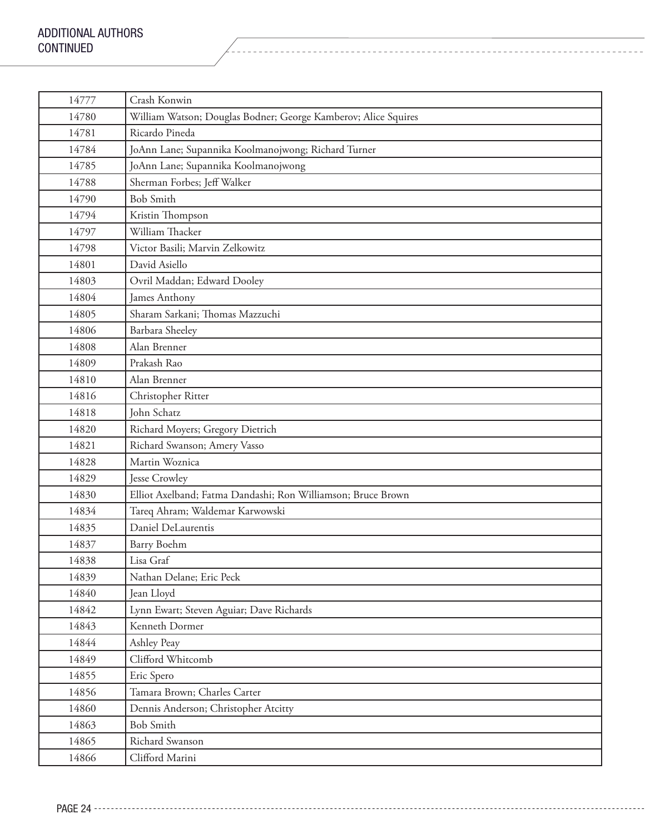| 14777 | Crash Konwin                                                   |  |  |
|-------|----------------------------------------------------------------|--|--|
| 14780 | William Watson; Douglas Bodner; George Kamberov; Alice Squires |  |  |
| 14781 | Ricardo Pineda                                                 |  |  |
| 14784 | JoAnn Lane; Supannika Koolmanojwong; Richard Turner            |  |  |
| 14785 | JoAnn Lane; Supannika Koolmanojwong                            |  |  |
| 14788 | Sherman Forbes; Jeff Walker                                    |  |  |
| 14790 | <b>Bob Smith</b>                                               |  |  |
| 14794 | Kristin Thompson                                               |  |  |
| 14797 | William Thacker                                                |  |  |
| 14798 | Victor Basili; Marvin Zelkowitz                                |  |  |
| 14801 | David Asiello                                                  |  |  |
| 14803 | Ovril Maddan; Edward Dooley                                    |  |  |
| 14804 | James Anthony                                                  |  |  |
| 14805 | Sharam Sarkani; Thomas Mazzuchi                                |  |  |
| 14806 | Barbara Sheeley                                                |  |  |
| 14808 | Alan Brenner                                                   |  |  |
| 14809 | Prakash Rao                                                    |  |  |
| 14810 | Alan Brenner                                                   |  |  |
| 14816 | Christopher Ritter                                             |  |  |
| 14818 | John Schatz                                                    |  |  |
| 14820 | Richard Moyers; Gregory Dietrich                               |  |  |
| 14821 | Richard Swanson; Amery Vasso                                   |  |  |
| 14828 | Martin Woznica                                                 |  |  |
| 14829 | Jesse Crowley                                                  |  |  |
| 14830 | Elliot Axelband; Fatma Dandashi; Ron Williamson; Bruce Brown   |  |  |
| 14834 | Tareq Ahram; Waldemar Karwowski                                |  |  |
| 14835 | Daniel DeLaurentis                                             |  |  |
| 14837 | Barry Boehm                                                    |  |  |
| 14838 | Lisa Graf                                                      |  |  |
| 14839 | Nathan Delane; Eric Peck                                       |  |  |
| 14840 | Jean Lloyd                                                     |  |  |
| 14842 | Lynn Ewart; Steven Aguiar; Dave Richards                       |  |  |
| 14843 | Kenneth Dormer                                                 |  |  |
| 14844 | Ashley Peay                                                    |  |  |
| 14849 | Clifford Whitcomb                                              |  |  |
| 14855 | Eric Spero                                                     |  |  |
| 14856 | Tamara Brown; Charles Carter                                   |  |  |
| 14860 | Dennis Anderson; Christopher Atcitty                           |  |  |
| 14863 | <b>Bob Smith</b>                                               |  |  |
| 14865 | Richard Swanson                                                |  |  |
| 14866 | Clifford Marini                                                |  |  |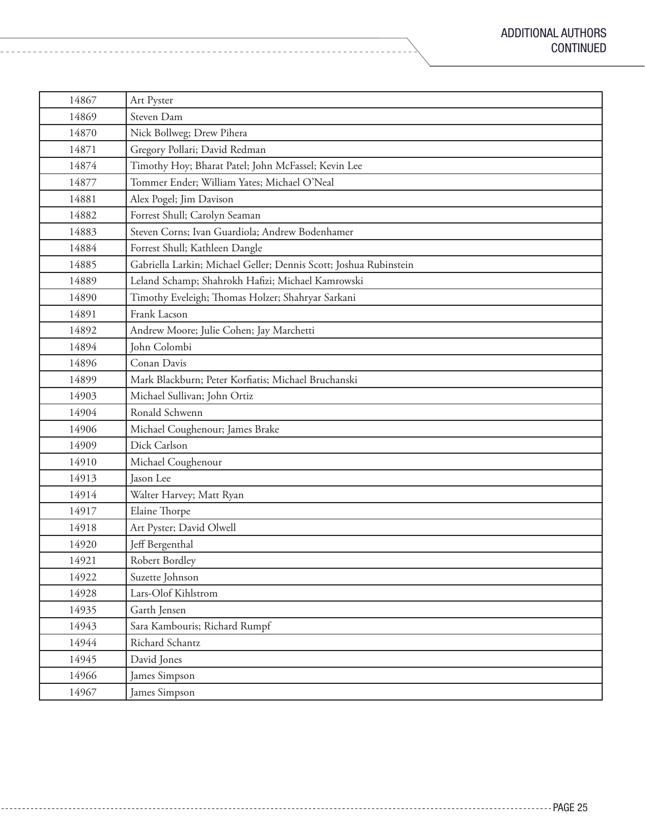| 14867 | Art Pyster                                                        |  |  |
|-------|-------------------------------------------------------------------|--|--|
| 14869 | Steven Dam                                                        |  |  |
| 14870 | Nick Bollweg; Drew Pihera                                         |  |  |
| 14871 | Gregory Pollari; David Redman                                     |  |  |
| 14874 | Timothy Hoy; Bharat Patel; John McFassel; Kevin Lee               |  |  |
| 14877 | Tommer Ender; William Yates; Michael O'Neal                       |  |  |
| 14881 | Alex Pogel; Jim Davison                                           |  |  |
| 14882 | Forrest Shull; Carolyn Seaman                                     |  |  |
| 14883 | Steven Corns; Ivan Guardiola; Andrew Bodenhamer                   |  |  |
| 14884 | Forrest Shull; Kathleen Dangle                                    |  |  |
| 14885 | Gabriella Larkin; Michael Geller; Dennis Scott; Joshua Rubinstein |  |  |
| 14889 | Leland Schamp; Shahrokh Hafizi; Michael Kamrowski                 |  |  |
| 14890 | Timothy Eveleigh; Thomas Holzer; Shahryar Sarkani                 |  |  |
| 14891 | Frank Lacson                                                      |  |  |
| 14892 | Andrew Moore; Julie Cohen; Jay Marchetti                          |  |  |
| 14894 | John Colombi                                                      |  |  |
| 14896 | Conan Davis                                                       |  |  |
| 14899 | Mark Blackburn; Peter Korfiatis; Michael Bruchanski               |  |  |
| 14903 | Michael Sullivan; John Ortiz                                      |  |  |
| 14904 | Ronald Schwenn                                                    |  |  |
| 14906 | Michael Coughenour; James Brake                                   |  |  |
| 14909 | Dick Carlson                                                      |  |  |
| 14910 | Michael Coughenour                                                |  |  |
| 14913 | Jason Lee                                                         |  |  |
| 14914 | Walter Harvey; Matt Ryan                                          |  |  |
| 14917 | Elaine Thorpe                                                     |  |  |
| 14918 | Art Pyster; David Olwell                                          |  |  |
| 14920 | Jeff Bergenthal                                                   |  |  |
| 14921 | Robert Bordley                                                    |  |  |
| 14922 | Suzette Johnson                                                   |  |  |
| 14928 | Lars-Olof Kihlstrom                                               |  |  |
| 14935 | Garth Jensen                                                      |  |  |
| 14943 | Sara Kambouris; Richard Rumpf                                     |  |  |
| 14944 | Richard Schantz                                                   |  |  |
| 14945 | David Jones                                                       |  |  |
| 14966 | James Simpson                                                     |  |  |
| 14967 | James Simpson                                                     |  |  |

 $\sim$ 

<u>. . . . . . . . .</u>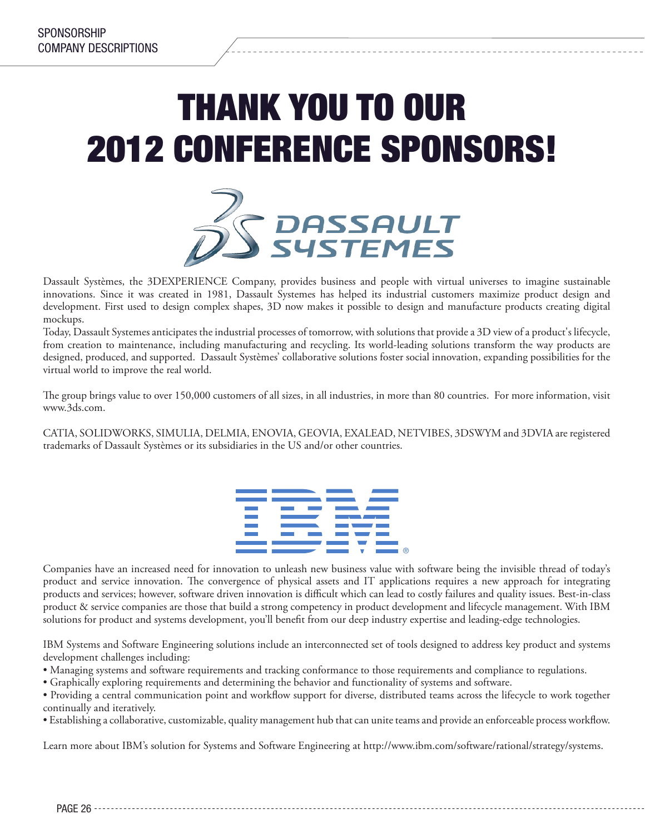## THANK YOU TO OUR 2012 CONFERENCE SPONSORS!



Dassault Systèmes, the 3DEXPERIENCE Company, provides business and people with virtual universes to imagine sustainable innovations. Since it was created in 1981, Dassault Systemes has helped its industrial customers maximize product design and development. First used to design complex shapes, 3D now makes it possible to design and manufacture products creating digital mockups.

Today, Dassault Systemes anticipates the industrial processes of tomorrow, with solutions that provide a 3D view of a product's lifecycle, from creation to maintenance, including manufacturing and recycling. Its world-leading solutions transform the way products are designed, produced, and supported. Dassault Systèmes' collaborative solutions foster social innovation, expanding possibilities for the virtual world to improve the real world.

The group brings value to over 150,000 customers of all sizes, in all industries, in more than 80 countries. For more information, visit www.3ds.com.

CATIA, SOLIDWORKS, SIMULIA, DELMIA, ENOVIA, GEOVIA, EXALEAD, NETVIBES, 3DSWYM and 3DVIA are registered trademarks of Dassault Systèmes or its subsidiaries in the US and/or other countries.



Companies have an increased need for innovation to unleash new business value with software being the invisible thread of today's product and service innovation. The convergence of physical assets and IT applications requires a new approach for integrating products and services; however, software driven innovation is difficult which can lead to costly failures and quality issues. Best-in-class product & service companies are those that build a strong competency in product development and lifecycle management. With IBM solutions for product and systems development, you'll benefit from our deep industry expertise and leading-edge technologies.

IBM Systems and Software Engineering solutions include an interconnected set of tools designed to address key product and systems development challenges including:

- Managing systems and software requirements and tracking conformance to those requirements and compliance to regulations.
- Graphically exploring requirements and determining the behavior and functionality of systems and software.

• Providing a central communication point and workflow support for diverse, distributed teams across the lifecycle to work together continually and iteratively.

• Establishing a collaborative, customizable, quality management hub that can unite teams and provide an enforceable process workflow.

Learn more about IBM's solution for Systems and Software Engineering at http://www.ibm.com/software/rational/strategy/systems.

PAGF 26 ----------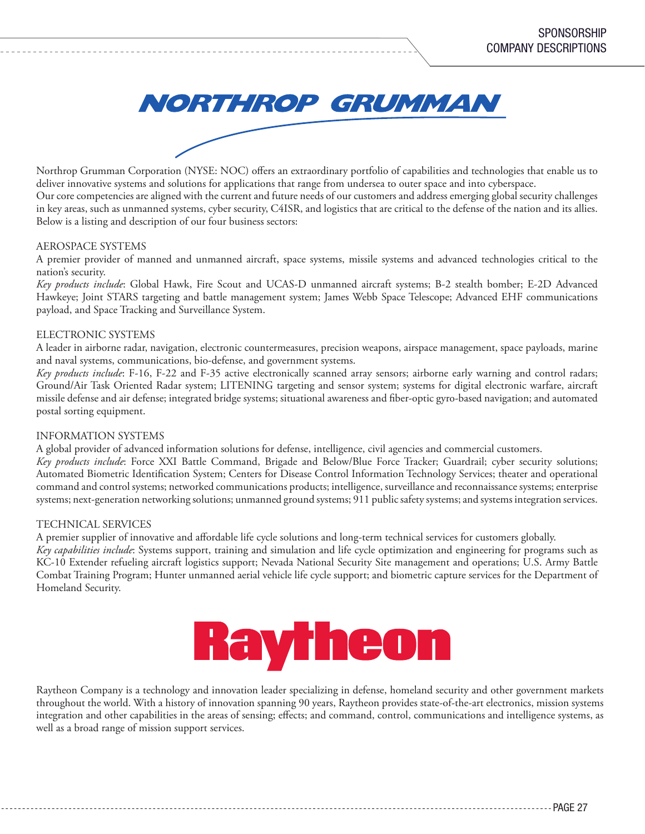

Northrop Grumman Corporation (NYSE: NOC) offers an extraordinary portfolio of capabilities and technologies that enable us to deliver innovative systems and solutions for applications that range from undersea to outer space and into cyberspace. Our core competencies are aligned with the current and future needs of our customers and address emerging global security challenges in key areas, such as unmanned systems, cyber security, C4ISR, and logistics that are critical to the defense of the nation and its allies. Below is a listing and description of our four business sectors:

#### AEROSPACE SYSTEMS

A premier provider of manned and unmanned aircraft, space systems, missile systems and advanced technologies critical to the nation's security.

*Key products include*: Global Hawk, Fire Scout and UCAS-D unmanned aircraft systems; B-2 stealth bomber; E-2D Advanced Hawkeye; Joint STARS targeting and battle management system; James Webb Space Telescope; Advanced EHF communications payload, and Space Tracking and Surveillance System.

#### ELECTRONIC SYSTEMS

A leader in airborne radar, navigation, electronic countermeasures, precision weapons, airspace management, space payloads, marine and naval systems, communications, bio-defense, and government systems.

*Key products include*: F-16, F-22 and F-35 active electronically scanned array sensors; airborne early warning and control radars; Ground/Air Task Oriented Radar system; LITENING targeting and sensor system; systems for digital electronic warfare, aircraft missile defense and air defense; integrated bridge systems; situational awareness and fiber-optic gyro-based navigation; and automated postal sorting equipment.

#### INFORMATION SYSTEMS

A global provider of advanced information solutions for defense, intelligence, civil agencies and commercial customers.

*Key products include*: Force XXI Battle Command, Brigade and Below/Blue Force Tracker; Guardrail; cyber security solutions; Automated Biometric Identification System; Centers for Disease Control Information Technology Services; theater and operational command and control systems; networked communications products; intelligence, surveillance and reconnaissance systems; enterprise systems; next-generation networking solutions; unmanned ground systems; 911 public safety systems; and systems integration services.

#### TECHNICAL SERVICES

A premier supplier of innovative and affordable life cycle solutions and long-term technical services for customers globally.

*Key capabilities include*: Systems support, training and simulation and life cycle optimization and engineering for programs such as KC-10 Extender refueling aircraft logistics support; Nevada National Security Site management and operations; U.S. Army Battle Combat Training Program; Hunter unmanned aerial vehicle life cycle support; and biometric capture services for the Department of Homeland Security.



Raytheon Company is a technology and innovation leader specializing in defense, homeland security and other government markets throughout the world. With a history of innovation spanning 90 years, Raytheon provides state-of-the-art electronics, mission systems integration and other capabilities in the areas of sensing; effects; and command, control, communications and intelligence systems, as well as a broad range of mission support services.